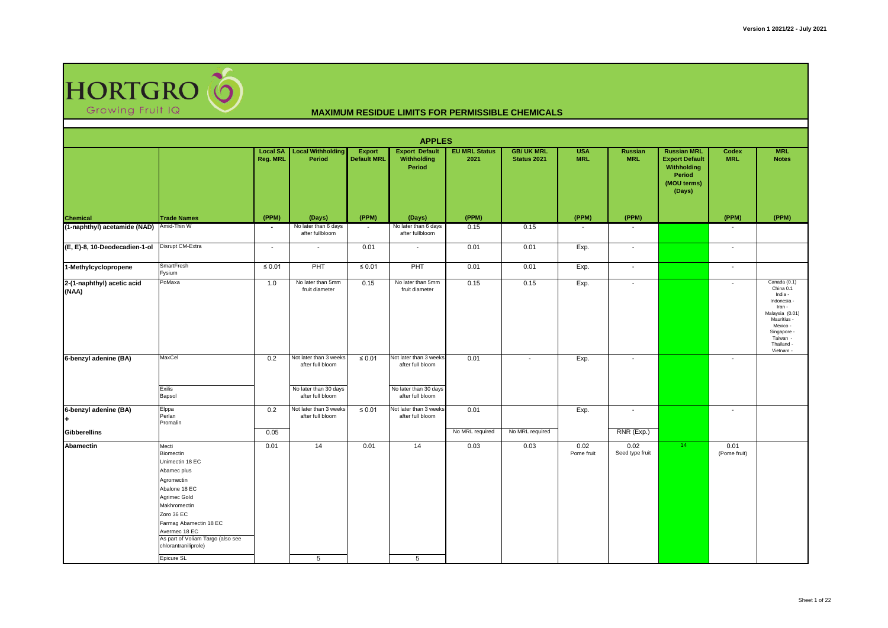

|                                          |                                                                                                                                                                                                                                           |                             |                                            |                                     | <b>APPLES</b>                                  |                              |                                  |                          |                          |                                                                                               |                          |                                                                                                                                                                   |
|------------------------------------------|-------------------------------------------------------------------------------------------------------------------------------------------------------------------------------------------------------------------------------------------|-----------------------------|--------------------------------------------|-------------------------------------|------------------------------------------------|------------------------------|----------------------------------|--------------------------|--------------------------|-----------------------------------------------------------------------------------------------|--------------------------|-------------------------------------------------------------------------------------------------------------------------------------------------------------------|
|                                          |                                                                                                                                                                                                                                           | <b>Local SA</b><br>Reg. MRL | <b>Local Withholding</b><br>Period         | <b>Export</b><br><b>Default MRL</b> | <b>Export Default</b><br>Withholding<br>Period | <b>EU MRL Status</b><br>2021 | <b>GB/ UK MRL</b><br>Status 2021 | <b>USA</b><br><b>MRL</b> | Russian<br><b>MRL</b>    | <b>Russian MRL</b><br><b>Export Default</b><br>Withholding<br>Period<br>(MOU terms)<br>(Days) | Codex<br><b>MRL</b>      | <b>MRL</b><br><b>Notes</b>                                                                                                                                        |
| <b>Chemical</b>                          | <b>Trade Names</b>                                                                                                                                                                                                                        | (PPM)                       | (Days)                                     | (PPM)                               | (Days)                                         | (PPM)                        |                                  | (PPM)                    | (PPM)                    |                                                                                               | (PPM)                    | (PPM)                                                                                                                                                             |
| (1-naphthyl) acetamide (NAD) Amid-Thin W |                                                                                                                                                                                                                                           | ٠                           | No later than 6 days<br>after fullbloom    |                                     | No later than 6 days<br>after fullbloom        | 0.15                         | 0.15                             |                          |                          |                                                                                               |                          |                                                                                                                                                                   |
| (E, E)-8, 10-Deodecadien-1-ol            | Disrupt CM-Extra                                                                                                                                                                                                                          | $\overline{\phantom{a}}$    | $\overline{\phantom{a}}$                   | 0.01                                | $\overline{\phantom{a}}$                       | 0.01                         | 0.01                             | Exp.                     | $\overline{\phantom{a}}$ |                                                                                               | $\overline{\phantom{a}}$ |                                                                                                                                                                   |
| 1-Methylcyclopropene                     | SmartFresh<br>Fysium                                                                                                                                                                                                                      | $\leq 0.01$                 | PHT                                        | $\leq 0.01$                         | PHT                                            | 0.01                         | 0.01                             | Exp.                     | $\overline{\phantom{a}}$ |                                                                                               | $\sim$                   |                                                                                                                                                                   |
| 2-(1-naphthyl) acetic acid<br>(NAA)      | PoMaxa                                                                                                                                                                                                                                    | 1.0                         | No later than 5mm<br>fruit diameter        | 0.15                                | No later than 5mm<br>fruit diameter            | 0.15                         | 0.15                             | Exp.                     | $\sim$                   |                                                                                               | $\sim$                   | Canada (0.1)<br>China 0.1<br>India -<br>Indonesia -<br>Iran -<br>Malaysia (0.01)<br>Mauritius -<br>Mexico -<br>Singapore -<br>Taiwan -<br>Thailand -<br>Vietnam - |
| 6-benzyl adenine (BA)                    | MaxCel                                                                                                                                                                                                                                    | 0.2                         | Not later than 3 weeks<br>after full bloom | $\leq 0.01$                         | Not later than 3 weeks<br>after full bloom     | 0.01                         | $\overline{\phantom{a}}$         | Exp.                     | $\sim$                   |                                                                                               | $\sim$                   |                                                                                                                                                                   |
|                                          | Exilis<br>Bapsol                                                                                                                                                                                                                          |                             | No later than 30 days<br>after full bloom  |                                     | No later than 30 days<br>after full bloom      |                              |                                  |                          |                          |                                                                                               |                          |                                                                                                                                                                   |
| 6-benzyl adenine (BA)                    | Elppa<br>Perlan<br>Promalin                                                                                                                                                                                                               | 0.2                         | Not later than 3 weeks<br>after full bloom | $\leq 0.01$                         | Not later than 3 weeks<br>after full bloom     | 0.01                         |                                  | Exp.                     | $\overline{\phantom{a}}$ |                                                                                               | $\overline{\phantom{a}}$ |                                                                                                                                                                   |
| <b>Gibberellins</b>                      |                                                                                                                                                                                                                                           | 0.05                        |                                            |                                     |                                                | No MRL required              | No MRL required                  |                          | RNR (Exp.)               |                                                                                               |                          |                                                                                                                                                                   |
| Abamectin                                | Mecti<br>Biomectin<br>Unimectin 18 EC<br>Abamec plus<br>Agromectin<br>Abalone 18 EC<br>Agrimec Gold<br>Makhromectin<br>Zoro 36 EC<br>Farmag Abamectin 18 EC<br>Avermec 18 EC<br>As part of Voliam Targo (also see<br>chlorantraniliprole) | 0.01                        | 14                                         | 0.01                                | 14                                             | 0.03                         | 0.03                             | 0.02<br>Pome fruit       | 0.02<br>Seed type fruit  | 14                                                                                            | 0.01<br>(Pome fruit)     |                                                                                                                                                                   |
|                                          | Epicure SL                                                                                                                                                                                                                                |                             | 5                                          |                                     | 5                                              |                              |                                  |                          |                          |                                                                                               |                          |                                                                                                                                                                   |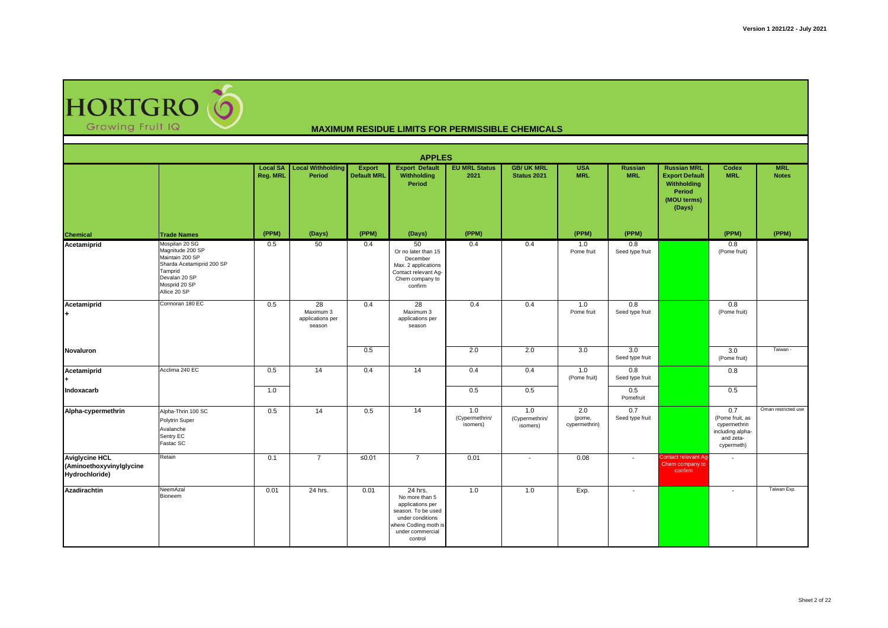HORTGRO

|                                                                     |                                                                                                                                                 |                             |                                               |                              | <b>APPLES</b>                                                                                                                                   |                                   |                                   |                                |                          |                                                                                               |                                                                                       |                            |
|---------------------------------------------------------------------|-------------------------------------------------------------------------------------------------------------------------------------------------|-----------------------------|-----------------------------------------------|------------------------------|-------------------------------------------------------------------------------------------------------------------------------------------------|-----------------------------------|-----------------------------------|--------------------------------|--------------------------|-----------------------------------------------------------------------------------------------|---------------------------------------------------------------------------------------|----------------------------|
|                                                                     |                                                                                                                                                 | <b>Local SA</b><br>Reg. MRL | <b>Local Withholding</b><br>Period            | Export<br><b>Default MRL</b> | <b>Export Default</b><br>Withholding<br>Period                                                                                                  | <b>EU MRL Status</b><br>2021      | <b>GB/UK MRL</b><br>Status 2021   | <b>USA</b><br><b>MRL</b>       | Russian<br><b>MRL</b>    | <b>Russian MRL</b><br><b>Export Default</b><br>Withholding<br>Period<br>(MOU terms)<br>(Days) | Codex<br><b>MRL</b>                                                                   | <b>MRL</b><br><b>Notes</b> |
| <b>Chemical</b>                                                     | <b>Trade Names</b>                                                                                                                              | (PPM)                       | (Days)                                        | (PPM)                        | (Days)                                                                                                                                          | (PPM)                             |                                   | (PPM)                          | (PPM)                    |                                                                                               | (PPM)                                                                                 | (PPM)                      |
| Acetamiprid                                                         | Mospilan 20 SG<br>Magnitude 200 SP<br>Maintain 200 SP<br>Sharda Acetamiprid 200 SP<br>Tamprid<br>Devalan 20 SP<br>Mosprid 20 SP<br>Allice 20 SP | 0.5                         | 50                                            | 0.4                          | 50<br>Or no later than 15<br>December<br>Max. 2 applications<br>Contact relevant Ag-<br>Chem company to<br>confirm                              | 0.4                               | 0.4                               | 1.0<br>Pome fruit              | 0.8<br>Seed type fruit   |                                                                                               | 0.8<br>(Pome fruit)                                                                   |                            |
| Acetamiprid<br>l+.                                                  | Cormoran 180 EC                                                                                                                                 | 0.5                         | 28<br>Maximum 3<br>applications per<br>season | 0.4                          | 28<br>Maximum 3<br>applications per<br>season                                                                                                   | 0.4                               | 0.4                               | 1.0<br>Pome fruit              | 0.8<br>Seed type fruit   |                                                                                               | 0.8<br>(Pome fruit)                                                                   |                            |
| Novaluron                                                           |                                                                                                                                                 |                             |                                               | 0.5                          |                                                                                                                                                 | 2.0                               | 2.0                               | 3.0                            | 3.0<br>Seed type fruit   |                                                                                               | 3.0<br>(Pome fruit)                                                                   | Taiwan -                   |
| Acetamiprid                                                         | Acclima 240 EC                                                                                                                                  | 0.5                         | 14                                            | 0.4                          | 14                                                                                                                                              | 0.4                               | 0.4                               | 1.0<br>(Pome fruit)            | 0.8<br>Seed type fruit   |                                                                                               | 0.8                                                                                   |                            |
| Indoxacarb                                                          |                                                                                                                                                 | 1.0                         |                                               |                              |                                                                                                                                                 | 0.5                               | 0.5                               |                                | 0.5<br>Pomefruit         |                                                                                               | 0.5                                                                                   |                            |
| Alpha-cypermethrin                                                  | Alpha-Thrin 100 SC<br>Polytrin Super<br>Avalanche<br>Sentry EC<br>Fastac SC                                                                     | 0.5                         | 14                                            | 0.5                          | 14                                                                                                                                              | 1.0<br>(Cypermethrin/<br>isomers) | 1.0<br>(Cypermethrin/<br>isomers) | 2.0<br>(pome,<br>cypermethrin) | 0.7<br>Seed type fruit   |                                                                                               | 0.7<br>(Pome fruit, as<br>cypermethrin<br>including alpha-<br>and zeta-<br>cypermeth) | Oman restricted use        |
| <b>Aviglycine HCL</b><br>(Aminoethoxyvinylglycine<br>Hydrochloride) | Retain                                                                                                                                          | 0.1                         | $\overline{7}$                                | ≤0.01                        | $\overline{7}$                                                                                                                                  | 0.01                              | $\overline{\phantom{a}}$          | 0.08                           | $\overline{\phantom{a}}$ | <b>Contact relevant Aq-</b><br>Chem company to<br>confirm                                     | $\overline{\phantom{a}}$                                                              |                            |
| <b>Azadirachtin</b>                                                 | NeemAzal<br>Bioneem                                                                                                                             | 0.01                        | 24 hrs.                                       | 0.01                         | 24 hrs.<br>No more than 5<br>applications per<br>season. To be used<br>under conditions<br>where Codling moth is<br>under commercial<br>control | 1.0                               | 1.0                               | Exp.                           | $\overline{\phantom{a}}$ |                                                                                               | $\overline{\phantom{a}}$                                                              | Taiwan Exp.                |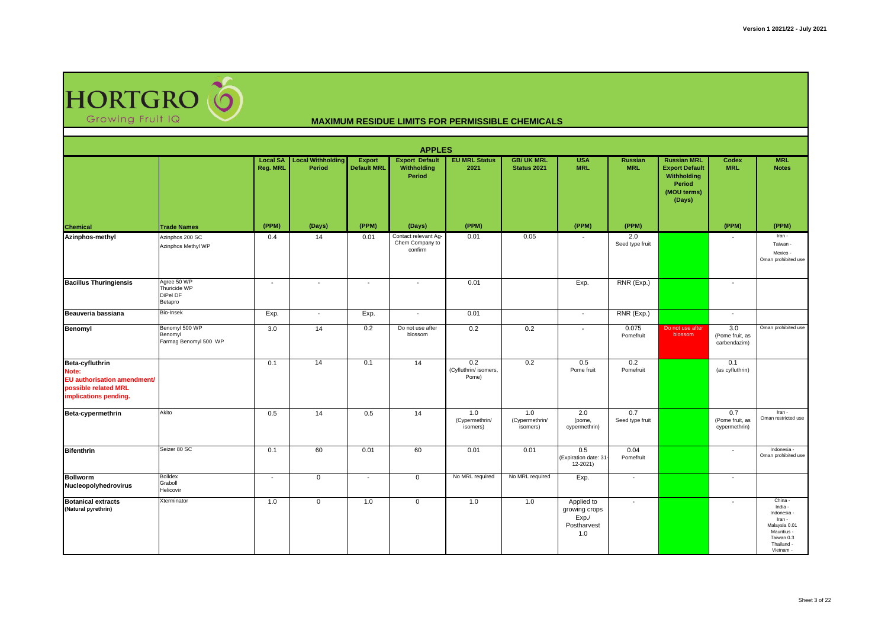

|                                                                                                          |                                                    |                             |                                    |                              | <b>APPLES</b>                                      |                                       |                                         |                                                            |                              |                                                                                                      |                                         |                                                                                                                    |
|----------------------------------------------------------------------------------------------------------|----------------------------------------------------|-----------------------------|------------------------------------|------------------------------|----------------------------------------------------|---------------------------------------|-----------------------------------------|------------------------------------------------------------|------------------------------|------------------------------------------------------------------------------------------------------|-----------------------------------------|--------------------------------------------------------------------------------------------------------------------|
|                                                                                                          |                                                    | <b>Local SA</b><br>Reg. MRL | <b>Local Withholding</b><br>Period | Export<br><b>Default MRL</b> | <b>Export Default</b><br>Withholding<br>Period     | <b>EU MRL Status</b><br>2021          | <b>GB/ UK MRL</b><br><b>Status 2021</b> | <b>USA</b><br><b>MRL</b>                                   | <b>Russian</b><br><b>MRL</b> | <b>Russian MRL</b><br><b>Export Default</b><br>Withholding<br><b>Period</b><br>(MOU terms)<br>(Days) | Codex<br><b>MRL</b>                     | <b>MRL</b><br><b>Notes</b>                                                                                         |
| <b>Chemical</b>                                                                                          | <b>Trade Names</b>                                 | (PPM)                       | (Days)                             | (PPM)                        | (Days)                                             | (PPM)                                 |                                         | (PPM)                                                      | (PPM)                        |                                                                                                      | (PPM)                                   | (PPM)                                                                                                              |
| Azinphos-methyl                                                                                          | Azinphos 200 SC<br>Azinphos Methyl WP              | 0.4                         | 14                                 | 0.01                         | Contact relevant Ag-<br>Chem Company to<br>confirm | 0.01                                  | 0.05                                    | $\overline{\phantom{a}}$                                   | 2.0<br>Seed type fruit       |                                                                                                      | $\overline{\phantom{a}}$                | Iran -<br>Taiwan -<br>Mexico -<br>Oman prohibited use                                                              |
| <b>Bacillus Thuringiensis</b>                                                                            | Agree 50 WP<br>Thuricide WP<br>DiPel DF<br>Betapro | $\overline{a}$              | $\overline{\phantom{a}}$           | $\overline{a}$               | $\sim$                                             | 0.01                                  |                                         | Exp.                                                       | RNR (Exp.)                   |                                                                                                      | $\overline{\phantom{a}}$                |                                                                                                                    |
| Beauveria bassiana                                                                                       | Bio-Insek                                          | Exp.                        | $\overline{\phantom{a}}$           | Exp.                         | $\sim$                                             | 0.01                                  |                                         | $\blacksquare$                                             | RNR (Exp.)                   |                                                                                                      | $\overline{\phantom{a}}$                |                                                                                                                    |
| Benomyl                                                                                                  | Benomyl 500 WP<br>Benomyl<br>Farmag Benomyl 500 WP | 3.0                         | 14                                 | 0.2                          | Do not use after<br>blossom                        | 0.2                                   | 0.2                                     | $\mathbf{r}$                                               | 0.075<br>Pomefruit           | Do not use after<br>blossom                                                                          | 3.0<br>(Pome fruit, as<br>carbendazim)  | Oman prohibited use                                                                                                |
| Beta-cyfluthrin<br>Note:<br>EU authorisation amendment/<br>possible related MRL<br>implications pending. |                                                    | 0.1                         | 14                                 | 0.1                          | 14                                                 | 0.2<br>(Cyfluthrin/ isomers,<br>Pome) | 0.2                                     | 0.5<br>Pome fruit                                          | 0.2<br>Pomefruit             |                                                                                                      | 0.1<br>(as cyfluthrin)                  |                                                                                                                    |
| Beta-cypermethrin                                                                                        | Akito                                              | 0.5                         | 14                                 | 0.5                          | 14                                                 | 1.0<br>(Cypermethrin/<br>isomers)     | 1.0<br>(Cypermethrin/<br>isomers)       | 2.0<br>(pome,<br>cypermethrin)                             | 0.7<br>Seed type fruit       |                                                                                                      | 0.7<br>(Pome fruit, as<br>cypermethrin) | Iran -<br>Oman restricted use                                                                                      |
| <b>Bifenthrin</b>                                                                                        | Seizer 80 SC                                       | 0.1                         | 60                                 | 0.01                         | 60                                                 | 0.01                                  | 0.01                                    | 0.5<br>(Expiration date: 31-<br>12-2021)                   | 0.04<br>Pomefruit            |                                                                                                      | $\overline{\phantom{a}}$                | Indonesia<br>Oman prohibited use                                                                                   |
| <b>Bollworm</b><br>Nucleopolyhedrovirus                                                                  | <b>Bolldex</b><br>Graboll<br>Helicovir             | $\overline{\phantom{a}}$    | $\mathbf{0}$                       | $\overline{\phantom{a}}$     | $\mathbf{0}$                                       | No MRL required                       | No MRL required                         | Exp.                                                       | $\sim$                       |                                                                                                      | $\overline{\phantom{a}}$                |                                                                                                                    |
| <b>Botanical extracts</b><br>(Natural pyrethrin)                                                         | Xterminator                                        | 1.0                         | $\mathbf 0$                        | 1.0                          | $\mathbf 0$                                        | 1.0                                   | 1.0                                     | Applied to<br>growing crops<br>Exp./<br>Postharvest<br>1.0 | $\sim$                       |                                                                                                      | $\overline{a}$                          | China -<br>India -<br>Indonesia<br>Iran -<br>Malaysia 0.01<br>Mauritius -<br>Taiwan 0.3<br>Thailand -<br>Vietnam - |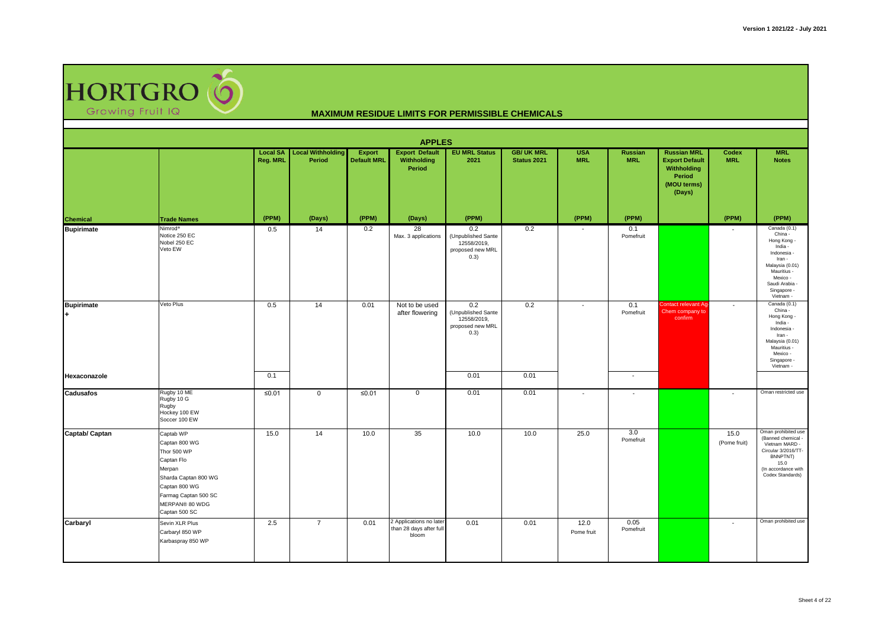

|                   |                                                                                                                                                                       |                                    |                                    |                                     | <b>APPLES</b>                                               |                                                                      |                                  |                          |                          |                                                                                               |                          |                                                                                                                                                                      |
|-------------------|-----------------------------------------------------------------------------------------------------------------------------------------------------------------------|------------------------------------|------------------------------------|-------------------------------------|-------------------------------------------------------------|----------------------------------------------------------------------|----------------------------------|--------------------------|--------------------------|-----------------------------------------------------------------------------------------------|--------------------------|----------------------------------------------------------------------------------------------------------------------------------------------------------------------|
|                   |                                                                                                                                                                       | <b>Local SA</b><br><b>Reg. MRL</b> | <b>Local Withholding</b><br>Period | <b>Export</b><br><b>Default MRL</b> | <b>Export Default</b><br>Withholding<br>Period              | <b>EU MRL Status</b><br>2021                                         | <b>GB/ UK MRL</b><br>Status 2021 | <b>USA</b><br><b>MRL</b> | Russian<br><b>MRL</b>    | <b>Russian MRL</b><br><b>Export Default</b><br>Withholding<br>Period<br>(MOU terms)<br>(Days) | Codex<br><b>MRL</b>      | <b>MRL</b><br><b>Notes</b>                                                                                                                                           |
| <b>Chemical</b>   | <b>Trade Names</b>                                                                                                                                                    | (PPM)                              | (Days)                             | (PPM)                               | (Days)                                                      | (PPM)                                                                |                                  | (PPM)                    | (PPM)                    |                                                                                               | (PPM)                    | (PPM)                                                                                                                                                                |
| <b>Bupirimate</b> | Nimrod <sup>®</sup><br>Notice 250 EC<br>Nobel 250 EC<br>Veto EW                                                                                                       | 0.5                                | 14                                 | 0.2                                 | 28<br>Max. 3 applications                                   | 0.2<br>(Unpublished Sante<br>12558/2019,<br>proposed new MRL<br>0.3) | 0.2                              | $\overline{\phantom{a}}$ | 0.1<br>Pomefruit         |                                                                                               | $\overline{\phantom{a}}$ | Canada (0.1)<br>China -<br>Hong Kong -<br>India -<br>Indonesia<br>Iran -<br>Malaysia (0.01)<br>Mauritius -<br>Mexico -<br>Saudi Arabia -<br>Singapore -<br>Vietnam - |
| <b>Bupirimate</b> | Veto Plus                                                                                                                                                             | 0.5                                | 14                                 | 0.01                                | Not to be used<br>after flowering                           | 0.2<br>(Unpublished Sante<br>12558/2019,<br>proposed new MRL<br>0.3) | 0.2                              | $\overline{\phantom{a}}$ | 0.1<br>Pomefruit         | Contact relevant Ag-<br>Chem company to<br>confirm                                            | $\overline{\phantom{a}}$ | Canada (0.1)<br>China -<br>Hong Kong -<br>India -<br>Indonesia -<br>Iran -<br>Malaysia (0.01)<br>Mauritius -<br>Mexico -<br>Singapore -<br>Vietnam -                 |
| Hexaconazole      |                                                                                                                                                                       | 0.1                                |                                    |                                     |                                                             | 0.01                                                                 | 0.01                             |                          | $\overline{\phantom{a}}$ |                                                                                               |                          |                                                                                                                                                                      |
| <b>Cadusafos</b>  | Rugby 10 ME<br>Rugby 10 G<br>Rugby<br>Hockey 100 EW<br>Soccer 100 EW                                                                                                  | ≤0.01                              | $\mathbf 0$                        | ≤ $0.01$                            | $\mathbf{0}$                                                | 0.01                                                                 | 0.01                             | $\overline{\phantom{a}}$ | $\overline{\phantom{a}}$ |                                                                                               | $\overline{\phantom{a}}$ | Oman restricted use                                                                                                                                                  |
| Captab/ Captan    | Captab WP<br>Captan 800 WG<br>Thor 500 WP<br>Captan Flo<br>Merpan<br>Sharda Captan 800 WG<br>Captan 800 WG<br>Farmag Captan 500 SC<br>MERPAN® 80 WDG<br>Captan 500 SC | 15.0                               | 14                                 | 10.0                                | 35                                                          | 10.0                                                                 | 10.0                             | 25.0                     | 3.0<br>Pomefruit         |                                                                                               | 15.0<br>(Pome fruit)     | Oman prohibited use<br>(Banned chemical -<br>Vietnam MARD -<br>Circular 3/2016/TT-<br>BNNPTNT)<br>15.0<br>(In accordance with<br>Codex Standards)                    |
| Carbaryl          | Sevin XLR Plus<br>Carbaryl 850 WP<br>Karbaspray 850 WP                                                                                                                | 2.5                                | $\overline{7}$                     | 0.01                                | 2 Applications no later<br>than 28 days after full<br>bloom | 0.01                                                                 | 0.01                             | 12.0<br>Pome fruit       | 0.05<br>Pomefruit        |                                                                                               | $\overline{\phantom{a}}$ | Oman prohibited use                                                                                                                                                  |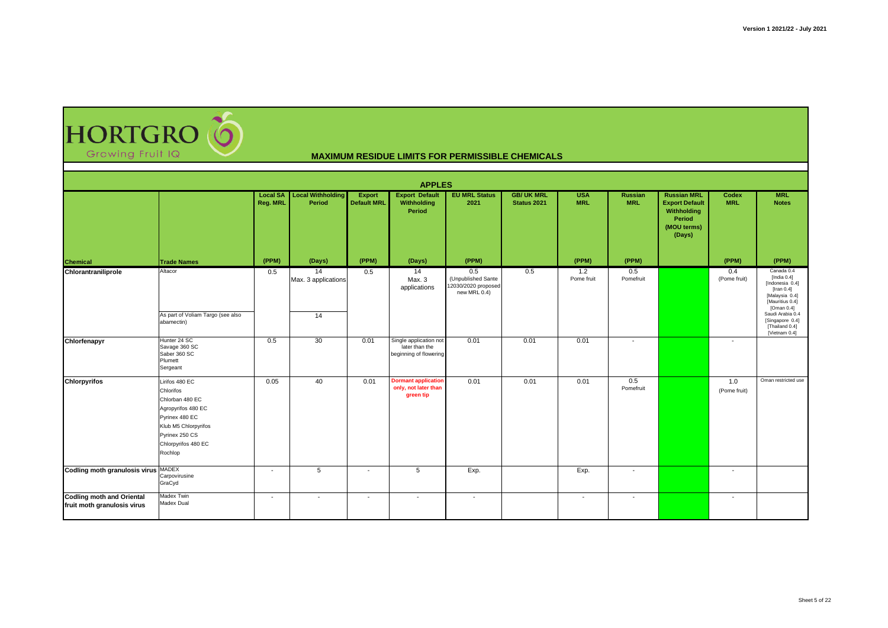| <b>HORTGRO O</b> |  |
|------------------|--|
| Growing Fruit IQ |  |

|                                                                 |                                                                                                                                                                    |                             |                                              |                                     | <b>APPLES</b>                                                      |                                                                  |                                 |                          |                              |                                                                                               |                          |                                                                                                                                                                                                 |
|-----------------------------------------------------------------|--------------------------------------------------------------------------------------------------------------------------------------------------------------------|-----------------------------|----------------------------------------------|-------------------------------------|--------------------------------------------------------------------|------------------------------------------------------------------|---------------------------------|--------------------------|------------------------------|-----------------------------------------------------------------------------------------------|--------------------------|-------------------------------------------------------------------------------------------------------------------------------------------------------------------------------------------------|
|                                                                 |                                                                                                                                                                    | <b>Local SA</b><br>Reg. MRL | <b>Local Withholding</b><br>Period           | <b>Export</b><br><b>Default MRL</b> | <b>Export Default</b><br>Withholding<br>Period                     | <b>EU MRL Status</b><br>2021                                     | <b>GB/UK MRL</b><br>Status 2021 | <b>USA</b><br><b>MRL</b> | <b>Russian</b><br><b>MRL</b> | <b>Russian MRL</b><br><b>Export Default</b><br>Withholding<br>Period<br>(MOU terms)<br>(Days) | Codex<br><b>MRL</b>      | <b>MRL</b><br><b>Notes</b>                                                                                                                                                                      |
| <b>Chemical</b>                                                 | <b>Trade Names</b>                                                                                                                                                 | (PPM)                       | (Days)                                       | (PPM)                               | (Days)                                                             | (PPM)                                                            |                                 | (PPM)                    | (PPM)                        |                                                                                               | (PPM)                    | (PPM)                                                                                                                                                                                           |
| Chlorantraniliprole                                             | Altacor<br>As part of Voliam Targo (see also<br>abamectin)                                                                                                         | 0.5                         | $\overline{14}$<br>Max. 3 applications<br>14 | 0.5                                 | 14<br>Max. 3<br>applications                                       | 0.5<br>(Unpublished Sante<br>12030/2020 proposed<br>new MRL 0.4) | 0.5                             | 1.2<br>Pome fruit        | 0.5<br>Pomefruit             |                                                                                               | 0.4<br>(Pome fruit)      | Canada 0.4<br>[India $0.4$ ]<br>[Indonesia 0.4]<br>[Iran $0.4$ ]<br>[Malaysia 0.4]<br>[Mauritius 0.4]<br>[Oman $0.4$ ]<br>Saudi Arabia 0.4<br>[Singapore 0.4]<br>[Thailand 0.4]<br>Vietnam 0.41 |
| Chlorfenapyr                                                    | Hunter 24 SC<br>Savage 360 SC<br>Saber 360 SC<br>Plumett<br>Sergeant                                                                                               | 0.5                         | 30                                           | 0.01                                | Single application not<br>later than the<br>beginning of flowering | 0.01                                                             | 0.01                            | 0.01                     | $\overline{\phantom{a}}$     |                                                                                               | $\overline{\phantom{a}}$ |                                                                                                                                                                                                 |
| <b>Chlorpyrifos</b>                                             | Lirifos 480 EC<br>Chlorifos<br>Chlorban 480 EC<br>Agropyrifos 480 EC<br>Pyrinex 480 EC<br>Klub M5 Chlorpyrifos<br>Pyrinex 250 CS<br>Chlorpyrifos 480 EC<br>Rochlop | 0.05                        | 40                                           | 0.01                                | <b>Dormant application</b><br>only, not later than<br>green tip    | 0.01                                                             | 0.01                            | 0.01                     | 0.5<br>Pomefruit             |                                                                                               | 1.0<br>(Pome fruit)      | Oman restricted use                                                                                                                                                                             |
| Codling moth granulosis virus MADEX                             | Carpovirusine<br>GraCyd                                                                                                                                            | $\overline{\phantom{a}}$    | 5                                            | $\overline{\phantom{0}}$            | 5                                                                  | Exp.                                                             |                                 | Exp.                     | $\overline{\phantom{0}}$     |                                                                                               | $\overline{\phantom{0}}$ |                                                                                                                                                                                                 |
| <b>Codling moth and Oriental</b><br>fruit moth granulosis virus | Madex Twin<br>Madex Dual                                                                                                                                           | $\overline{\phantom{a}}$    | $\sim$                                       | $\overline{\phantom{a}}$            | $\overline{\phantom{a}}$                                           | $\overline{\phantom{a}}$                                         |                                 | $\overline{\phantom{a}}$ | $\overline{\phantom{a}}$     |                                                                                               | $\overline{\phantom{a}}$ |                                                                                                                                                                                                 |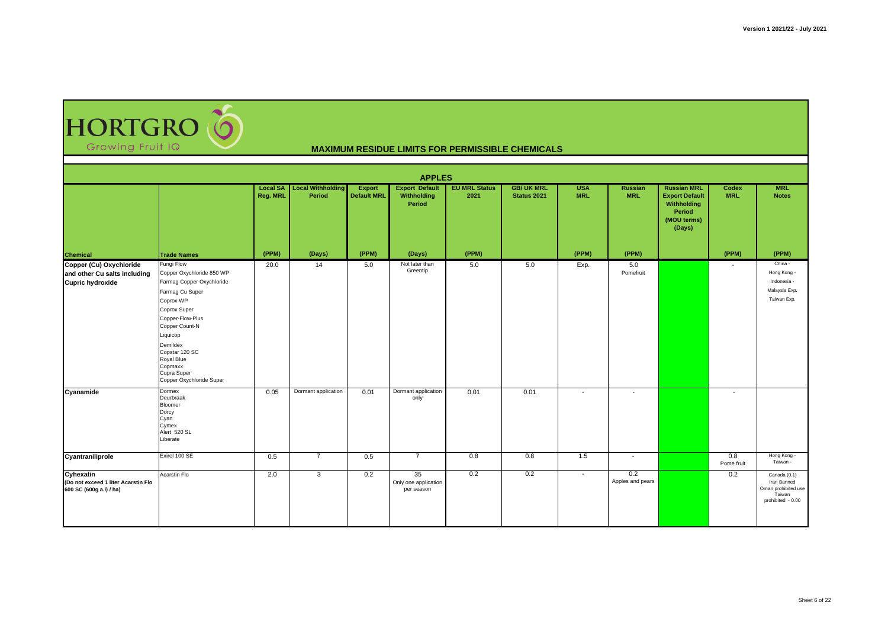HORTGRO

|                                                                                    |                                                                                                                                                                                                                                                                          |                 |                                             |                                     | <b>APPLES</b>                                  |                              |                                 |                          |                          |                                                                                               |                          |                                                                                   |
|------------------------------------------------------------------------------------|--------------------------------------------------------------------------------------------------------------------------------------------------------------------------------------------------------------------------------------------------------------------------|-----------------|---------------------------------------------|-------------------------------------|------------------------------------------------|------------------------------|---------------------------------|--------------------------|--------------------------|-----------------------------------------------------------------------------------------------|--------------------------|-----------------------------------------------------------------------------------|
|                                                                                    |                                                                                                                                                                                                                                                                          | <b>Reg. MRL</b> | <b>Local SA</b> Local Withholding<br>Period | <b>Export</b><br><b>Default MRL</b> | <b>Export Default</b><br>Withholding<br>Period | <b>EU MRL Status</b><br>2021 | <b>GB/UK MRL</b><br>Status 2021 | <b>USA</b><br><b>MRL</b> | Russian<br><b>MRL</b>    | <b>Russian MRL</b><br><b>Export Default</b><br>Withholding<br>Period<br>(MOU terms)<br>(Days) | Codex<br><b>MRL</b>      | <b>MRL</b><br><b>Notes</b>                                                        |
| <b>Chemical</b>                                                                    | <b>Trade Names</b>                                                                                                                                                                                                                                                       | (PPM)           | (Days)                                      | (PPM)                               | (Days)                                         | (PPM)                        |                                 | (PPM)                    | (PPM)                    |                                                                                               | (PPM)                    | (PPM)                                                                             |
| Copper (Cu) Oxychloride<br>and other Cu salts including<br><b>Cupric hydroxide</b> | Fungi Flow<br>Copper Oxychloride 850 WP<br>Farmag Copper Oxychloride<br>Farmag Cu Super<br>Coprox WP<br>Coprox Super<br>Copper-Flow-Plus<br>Copper Count-N<br>Liquicop<br>Demildex<br>Copstar 120 SC<br>Royal Blue<br>Copmaxx<br>Cupra Super<br>Copper Oxychloride Super | 20.0            | 14                                          | 5.0                                 | Not later than<br>Greentip                     | 5.0                          | 5.0                             | Exp.                     | 5.0<br>Pomefruit         |                                                                                               | $\overline{\phantom{a}}$ | China -<br>Hong Kong -<br>Indonesia -<br>Malaysia Exp.<br>Taiwan Exp.             |
| Cyanamide                                                                          | Dormex<br>Deurbraak<br>Bloomer<br>Dorcy<br>Cyan<br>Cymex<br>Alert 520 SL<br>Liberate                                                                                                                                                                                     | 0.05            | Dormant application                         | 0.01                                | Dormant application<br>only                    | 0.01                         | 0.01                            | $\overline{\phantom{a}}$ | $\overline{\phantom{a}}$ |                                                                                               | $\overline{\phantom{a}}$ |                                                                                   |
| Cyantraniliprole                                                                   | Exirel 100 SE                                                                                                                                                                                                                                                            | 0.5             | $\overline{7}$                              | 0.5                                 | $\overline{7}$                                 | 0.8                          | 0.8                             | 1.5                      | $\overline{\phantom{a}}$ |                                                                                               | 0.8<br>Pome fruit        | Hong Kong -<br>Taiwan -                                                           |
| Cyhexatin<br>(Do not exceed 1 liter Acarstin Flo<br>600 SC (600g a.i) / ha)        | Acarstin Flo                                                                                                                                                                                                                                                             | 2.0             | 3                                           | 0.2                                 | 35<br>Only one application<br>per season       | 0.2                          | 0.2                             | $\overline{\phantom{a}}$ | 0.2<br>Apples and pears  |                                                                                               | 0.2                      | Canada (0.1)<br>Iran Banned<br>Oman prohibited use<br>Taiwan<br>prohibited - 0.00 |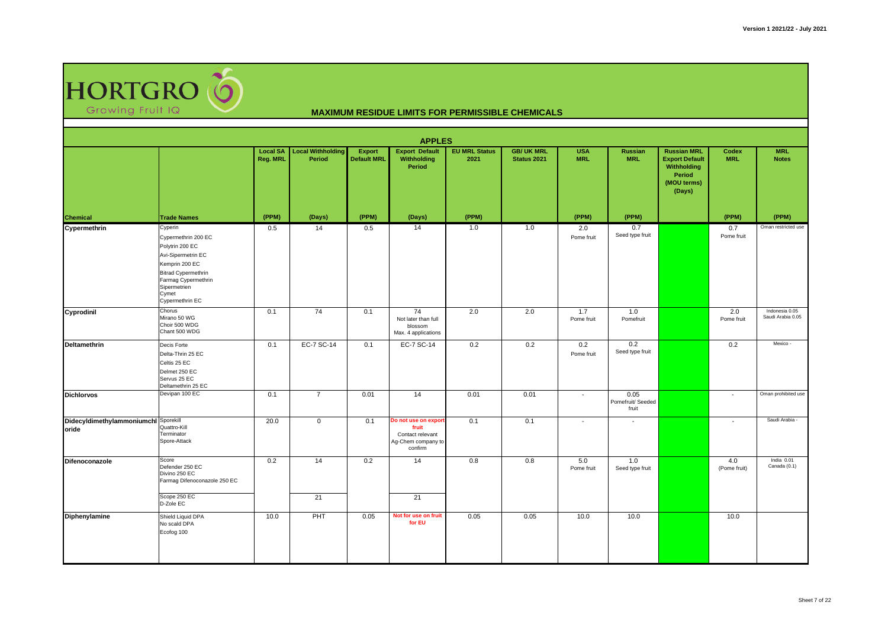

|                                               |                                                                                                                                                                                            |                                    |                                    |                                     | <b>APPLES</b>                                                                      |                              |                                         |                          |                                    |                                                                                               |                          |                                     |
|-----------------------------------------------|--------------------------------------------------------------------------------------------------------------------------------------------------------------------------------------------|------------------------------------|------------------------------------|-------------------------------------|------------------------------------------------------------------------------------|------------------------------|-----------------------------------------|--------------------------|------------------------------------|-----------------------------------------------------------------------------------------------|--------------------------|-------------------------------------|
|                                               |                                                                                                                                                                                            | <b>Local SA</b><br><b>Reg. MRL</b> | <b>Local Withholding</b><br>Period | <b>Export</b><br><b>Default MRL</b> | <b>Export Default</b><br>Withholding<br>Period                                     | <b>EU MRL Status</b><br>2021 | <b>GB/ UK MRL</b><br><b>Status 2021</b> | <b>USA</b><br><b>MRL</b> | <b>Russian</b><br><b>MRL</b>       | <b>Russian MRL</b><br><b>Export Default</b><br>Withholding<br>Period<br>(MOU terms)<br>(Days) | Codex<br><b>MRL</b>      | <b>MRL</b><br><b>Notes</b>          |
| <b>Chemical</b>                               | <b>Trade Names</b>                                                                                                                                                                         | (PPM)                              | (Days)                             | (PPM)                               | (Days)                                                                             | (PPM)                        |                                         | (PPM)                    | (PPM)                              |                                                                                               | (PPM)                    | (PPM)                               |
| Cypermethrin                                  | Cyperin<br>Cypermethrin 200 EC<br>Polytrin 200 EC<br>Avi-Sipermetrin EC<br>Kemprin 200 EC<br><b>Bitrad Cypermethrin</b><br>Farmag Cypermethrin<br>Sipermetrien<br>Cymet<br>Cypermethrin EC | 0.5                                | 14                                 | 0.5                                 | 14                                                                                 | 1.0                          | 1.0                                     | 2.0<br>Pome fruit        | 0.7<br>Seed type fruit             |                                                                                               | 0.7<br>Pome fruit        | Oman restricted use                 |
| Cyprodinil                                    | Chorus<br>Mirano 50 WG<br>Choir 500 WDG<br>Chant 500 WDG                                                                                                                                   | 0.1                                | 74                                 | 0.1                                 | 74<br>Not later than full<br>blossom<br>Max. 4 applications                        | 2.0                          | 2.0                                     | 1.7<br>Pome fruit        | 1.0<br>Pomefruit                   |                                                                                               | 2.0<br>Pome fruit        | Indonesia 0.05<br>Saudi Arabia 0.05 |
| <b>Deltamethrin</b>                           | Decis Forte<br>Delta-Thrin 25 EC<br>Celtis 25 EC<br>Delmet 250 EC<br>Servus 25 EC<br>Deltamethrin 25 EC                                                                                    | 0.1                                | EC-7 SC-14                         | 0.1                                 | EC-7 SC-14                                                                         | 0.2                          | 0.2                                     | 0.2<br>Pome fruit        | 0.2<br>Seed type fruit             |                                                                                               | 0.2                      | Mexico -                            |
| <b>Dichlorvos</b>                             | Devipan 100 EC                                                                                                                                                                             | 0.1                                | $\overline{7}$                     | 0.01                                | 14                                                                                 | 0.01                         | 0.01                                    | $\overline{\phantom{a}}$ | 0.05<br>Pomefruit/ Seeded<br>fruit |                                                                                               | $\blacksquare$           | Oman prohibited use                 |
| Didecyldimethylammoniumchl Sporekill<br>oride | Quattro-Kill<br>Terminator<br>Spore-Attack                                                                                                                                                 | 20.0                               | $\mathsf 0$                        | 0.1                                 | Do not use on export<br>fruit<br>Contact relevant<br>Ag-Chem company to<br>confirm | 0.1                          | 0.1                                     | $\overline{\phantom{a}}$ | $\overline{\phantom{a}}$           |                                                                                               | $\overline{\phantom{a}}$ | Saudi Arabia -                      |
| Difenoconazole                                | Score<br>Defender 250 EC<br>Divino 250 EC<br>Farmag Difenoconazole 250 EC<br>Scope 250 EC<br>D-Zole EC                                                                                     | 0.2                                | 14<br>21                           | 0.2                                 | 14<br>21                                                                           | 0.8                          | 0.8                                     | 5.0<br>Pome fruit        | 1.0<br>Seed type fruit             |                                                                                               | 4.0<br>(Pome fruit)      | India 0.01<br>Canada (0.1)          |
| Diphenylamine                                 | Shield Liquid DPA<br>No scald DPA<br>Ecofog 100                                                                                                                                            | 10.0                               | PHT                                | 0.05                                | Not for use on fruit<br>for EU                                                     | 0.05                         | 0.05                                    | 10.0                     | 10.0                               |                                                                                               | 10.0                     |                                     |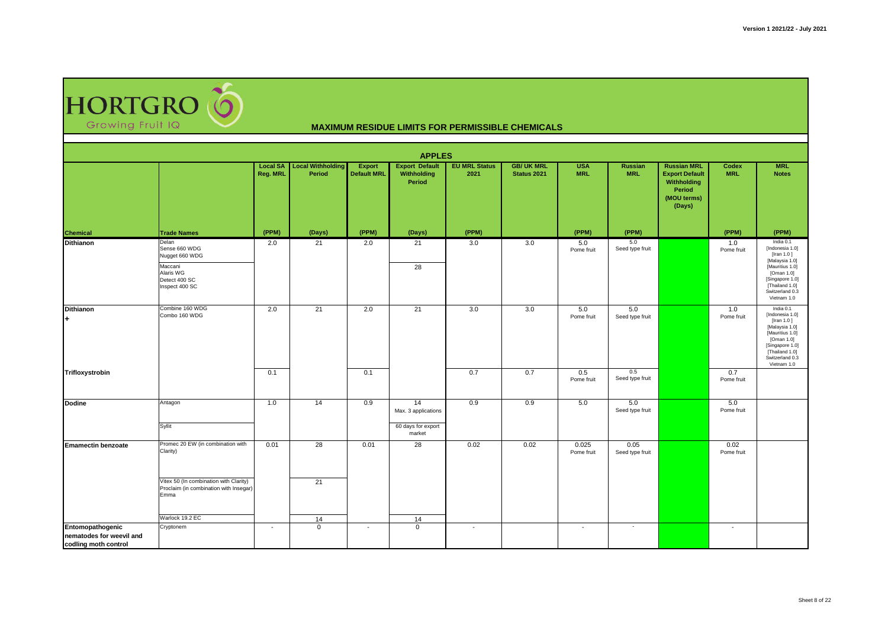HORTGRO

|                                                                      |                                                                                                     |                                    |                                    |                              | <b>APPLES</b>                                             |                              |                                 |                          |                              |                                                                                               |                          |                                                                                                                                                                      |
|----------------------------------------------------------------------|-----------------------------------------------------------------------------------------------------|------------------------------------|------------------------------------|------------------------------|-----------------------------------------------------------|------------------------------|---------------------------------|--------------------------|------------------------------|-----------------------------------------------------------------------------------------------|--------------------------|----------------------------------------------------------------------------------------------------------------------------------------------------------------------|
|                                                                      |                                                                                                     | <b>Local SA</b><br><b>Reg. MRL</b> | <b>Local Withholding</b><br>Period | Export<br><b>Default MRL</b> | <b>Export Default</b><br>Withholding<br>Period            | <b>EU MRL Status</b><br>2021 | <b>GB/UK MRL</b><br>Status 2021 | <b>USA</b><br><b>MRL</b> | <b>Russian</b><br><b>MRL</b> | <b>Russian MRL</b><br><b>Export Default</b><br>Withholding<br>Period<br>(MOU terms)<br>(Days) | Codex<br><b>MRL</b>      | <b>MRL</b><br><b>Notes</b>                                                                                                                                           |
| <b>Chemical</b>                                                      | <b>Trade Names</b>                                                                                  | (PPM)                              | (Days)                             | (PPM)                        | (Days)                                                    | (PPM)                        |                                 | (PPM)                    | (PPM)                        |                                                                                               | (PPM)                    | (PPM)                                                                                                                                                                |
| <b>Dithianon</b>                                                     | Delan<br>Sense 660 WDG<br>Nugget 660 WDG<br>Maccani<br>Alaris WG<br>Detect 400 SC<br>Inspect 400 SC | 2.0                                | 21                                 | 2.0                          | 21<br>28                                                  | 3.0                          | 3.0                             | 5.0<br>Pome fruit        | 5.0<br>Seed type fruit       |                                                                                               | 1.0<br>Pome fruit        | India 0.1<br>[Indonesia 1.0]<br>[Iran 1.0]<br>[Malaysia 1.0]<br>[Mauritius 1.0]<br>[Oman 1.0]<br>[Singapore 1.0]<br>[Thailand 1.0]<br>Switzerland 0.3<br>Vietnam 1.0 |
| <b>Dithianon</b><br>l+                                               | Combine 160 WDG<br>Combo 160 WDG                                                                    | 2.0                                | 21                                 | 2.0                          | 21                                                        | 3.0                          | 3.0                             | 5.0<br>Pome fruit        | 5.0<br>Seed type fruit       |                                                                                               | 1.0<br>Pome fruit        | India 0.1<br>[Indonesia 1.0]<br>[Iran 1.0]<br>[Malaysia 1.0]<br>[Mauritius 1.0]<br>[Oman 1.0]<br>[Singapore 1.0]<br>[Thailand 1.0]<br>Switzerland 0.3<br>Vietnam 1.0 |
| Trifloxystrobin                                                      |                                                                                                     | 0.1                                |                                    | 0.1                          |                                                           | 0.7                          | 0.7                             | 0.5<br>Pome fruit        | 0.5<br>Seed type fruit       |                                                                                               | 0.7<br>Pome fruit        |                                                                                                                                                                      |
| <b>Dodine</b>                                                        | Antagon<br>Syllit                                                                                   | 1.0                                | 14                                 | 0.9                          | 14<br>Max. 3 applications<br>60 days for export<br>market | 0.9                          | 0.9                             | 5.0                      | 5.0<br>Seed type fruit       |                                                                                               | 5.0<br>Pome fruit        |                                                                                                                                                                      |
| <b>Emamectin benzoate</b>                                            | Promec 20 EW (in combination with<br>Clarity)                                                       | 0.01                               | 28                                 | 0.01                         | 28                                                        | 0.02                         | 0.02                            | 0.025<br>Pome fruit      | 0.05<br>Seed type fruit      |                                                                                               | 0.02<br>Pome fruit       |                                                                                                                                                                      |
|                                                                      | Vitex 50 (In combination with Clarity)<br>Proclaim (in combination with Insegar)<br>Emma            |                                    | 21                                 |                              |                                                           |                              |                                 |                          |                              |                                                                                               |                          |                                                                                                                                                                      |
| Entomopathogenic<br>nematodes for weevil and<br>codling moth control | Warlock 19.2 EC<br>Cryptonem                                                                        | $\overline{\phantom{a}}$           | 14<br>$\mathbf 0$                  | $\overline{\phantom{a}}$     | 14<br>$\mathbf 0$                                         | $\overline{\phantom{a}}$     |                                 | $\overline{\phantom{a}}$ | $\sim$                       |                                                                                               | $\overline{\phantom{a}}$ |                                                                                                                                                                      |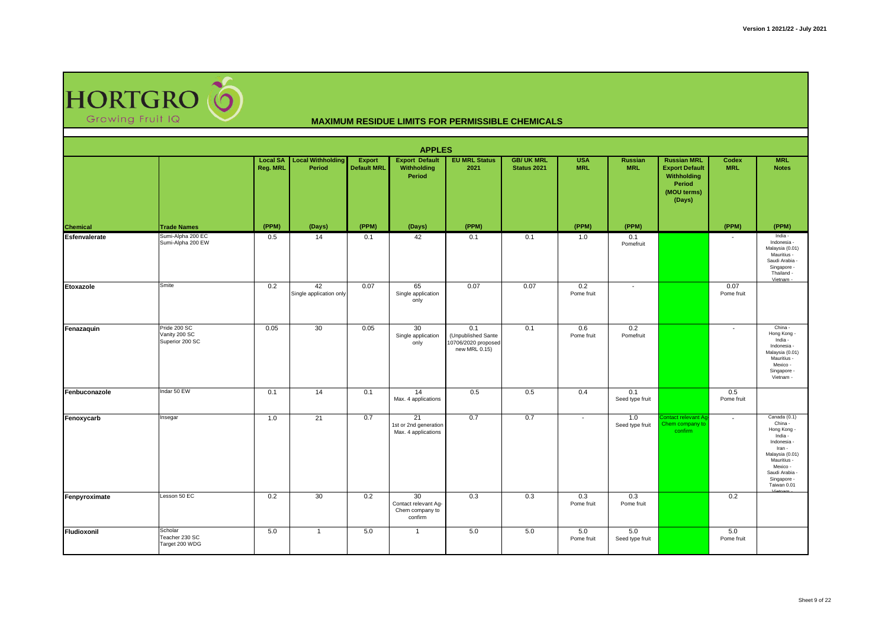

|                    |                                                  |                                    |                                    |                              | <b>APPLES</b>                                            |                                                                   |                                  |                          |                        |                                                                                               |                          |                                                                                                                                                                          |
|--------------------|--------------------------------------------------|------------------------------------|------------------------------------|------------------------------|----------------------------------------------------------|-------------------------------------------------------------------|----------------------------------|--------------------------|------------------------|-----------------------------------------------------------------------------------------------|--------------------------|--------------------------------------------------------------------------------------------------------------------------------------------------------------------------|
|                    |                                                  | <b>Local SA</b><br><b>Reg. MRL</b> | <b>Local Withholding</b><br>Period | Export<br><b>Default MRL</b> | <b>Export Default</b><br>Withholding<br>Period           | <b>EU MRL Status</b><br>2021                                      | <b>GB/ UK MRL</b><br>Status 2021 | <b>USA</b><br><b>MRL</b> | Russian<br><b>MRL</b>  | <b>Russian MRL</b><br><b>Export Default</b><br>Withholding<br>Period<br>(MOU terms)<br>(Days) | Codex<br><b>MRL</b>      | <b>MRL</b><br><b>Notes</b>                                                                                                                                               |
| <b>Chemical</b>    | <b>Trade Names</b>                               | (PPM)                              | (Days)                             | (PPM)                        | (Days)                                                   | (PPM)                                                             |                                  | (PPM)                    | (PPM)                  |                                                                                               | (PPM)                    | (PPM)                                                                                                                                                                    |
| Esfenvalerate      | Sumi-Alpha 200 EC<br>Sumi-Alpha 200 EW           | 0.5                                | 14                                 | 0.1                          | 42                                                       | 0.1                                                               | 0.1                              | 1.0                      | 0.1<br>Pomefruit       |                                                                                               |                          | India -<br>Indonesia -<br>Malaysia (0.01)<br>Mauritius -<br>Saudi Arabia -<br>Singapore -<br>Thailand -<br>Vietnam -                                                     |
| Etoxazole          | Smite                                            | 0.2                                | 42<br>Single application only      | 0.07                         | 65<br>Single application<br>only                         | 0.07                                                              | 0.07                             | 0.2<br>Pome fruit        | $\sim$                 |                                                                                               | 0.07<br>Pome fruit       |                                                                                                                                                                          |
| Fenazaquin         | Pride 200 SC<br>Vanity 200 SC<br>Superior 200 SC | 0.05                               | 30                                 | 0.05                         | 30<br>Single application<br>only                         | 0.1<br>(Unpublished Sante<br>10706/2020 proposed<br>new MRL 0.15) | 0.1                              | 0.6<br>Pome fruit        | 0.2<br>Pomefruit       |                                                                                               | $\overline{\phantom{a}}$ | China -<br>Hong Kong -<br>India -<br>Indonesia -<br>Malaysia (0.01)<br>Mauritius -<br>Mexico -<br>Singapore -<br>Vietnam -                                               |
| Fenbuconazole      | Indar 50 EW                                      | 0.1                                | 14                                 | 0.1                          | 14<br>Max. 4 applications                                | 0.5                                                               | 0.5                              | 0.4                      | 0.1<br>Seed type fruit |                                                                                               | 0.5<br>Pome fruit        |                                                                                                                                                                          |
| Fenoxycarb         | Insegar                                          | 1.0                                | 21                                 | 0.7                          | 21<br>1st or 2nd generation<br>Max. 4 applications       | 0.7                                                               | 0.7                              | $\blacksquare$           | 1.0<br>Seed type fruit | ontact relevant A<br>Chem company to<br>confirm                                               | $\overline{\phantom{a}}$ | Canada (0.1)<br>China -<br>Hong Kong -<br>India -<br>Indonesia -<br>Iran -<br>Malaysia (0.01)<br>Mauritius -<br>Mexico -<br>Saudi Arabia -<br>Singapore -<br>Taiwan 0.01 |
| Fenpyroximate      | Lesson 50 EC                                     | 0.2                                | 30                                 | 0.2                          | 30<br>Contact relevant Ag-<br>Chem company to<br>confirm | 0.3                                                               | 0.3                              | 0.3<br>Pome fruit        | 0.3<br>Pome fruit      |                                                                                               | 0.2                      |                                                                                                                                                                          |
| <b>Fludioxonil</b> | Scholar<br>Teacher 230 SC<br>Target 200 WDG      | 5.0                                | $\overline{1}$                     | 5.0                          | $\overline{1}$                                           | 5.0                                                               | 5.0                              | 5.0<br>Pome fruit        | 5.0<br>Seed type fruit |                                                                                               | 5.0<br>Pome fruit        |                                                                                                                                                                          |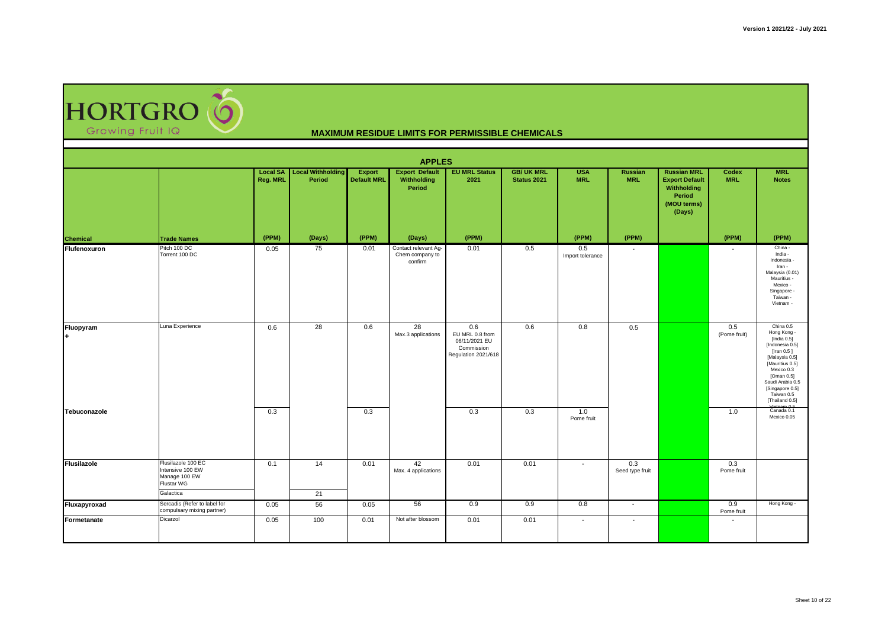HORTGRO

|                 |                                                                                    |                                    |                                    |                              | <b>APPLES</b>                                      |                                                                              |                                 |                          |                          |                                                                                               |                          |                                                                                                                                                                                                                                    |
|-----------------|------------------------------------------------------------------------------------|------------------------------------|------------------------------------|------------------------------|----------------------------------------------------|------------------------------------------------------------------------------|---------------------------------|--------------------------|--------------------------|-----------------------------------------------------------------------------------------------|--------------------------|------------------------------------------------------------------------------------------------------------------------------------------------------------------------------------------------------------------------------------|
|                 |                                                                                    | <b>Local SA</b><br><b>Reg. MRL</b> | <b>Local Withholding</b><br>Period | Export<br><b>Default MRL</b> | <b>Export Default</b><br>Withholding<br>Period     | <b>EU MRL Status</b><br>2021                                                 | <b>GB/UK MRL</b><br>Status 2021 | <b>USA</b><br><b>MRL</b> | Russian<br><b>MRL</b>    | <b>Russian MRL</b><br><b>Export Default</b><br>Withholding<br>Period<br>(MOU terms)<br>(Days) | Codex<br><b>MRL</b>      | <b>MRL</b><br><b>Notes</b>                                                                                                                                                                                                         |
| <b>Chemical</b> | <b>Trade Names</b>                                                                 | (PPM)                              | (Days)                             | (PPM)                        | (Days)                                             | (PPM)                                                                        |                                 | (PPM)                    | (PPM)                    |                                                                                               | (PPM)                    | (PPM)                                                                                                                                                                                                                              |
| Flufenoxuron    | Pitch 100 DC<br>Torrent 100 DC                                                     | 0.05                               | 75                                 | 0.01                         | Contact relevant Ag-<br>Chem company to<br>confirm | 0.01                                                                         | 0.5                             | 0.5<br>Import tolerance  | $\overline{\phantom{a}}$ |                                                                                               |                          | China -<br>India -<br>Indonesia -<br>Iran -<br>Malaysia (0.01)<br>Mauritius -<br>Mexico -<br>Singapore -<br>Taiwan -<br>Vietnam -                                                                                                  |
| Fluopyram       | Luna Experience                                                                    | 0.6                                | 28                                 | 0.6                          | 28<br>Max.3 applications                           | 0.6<br>EU MRL 0.8 from<br>06/11/2021 EU<br>Commission<br>Regulation 2021/618 | 0.6                             | 0.8                      | 0.5                      |                                                                                               | 0.5<br>(Pome fruit)      | China 0.5<br>Hong Kong -<br>[India 0.5]<br>[Indonesia 0.5]<br>[Iran $0.5$ ]<br>[Malaysia 0.5]<br>[Mauritius 0.5]<br>Mexico 0.3<br>[Oman 0.5]<br>Saudi Arabia 0.5<br>[Singapore 0.5]<br>Taiwan 0.5<br>[Thailand 0.5]<br>Uniform 0.5 |
| Tebuconazole    |                                                                                    | 0.3                                |                                    | 0.3                          |                                                    | 0.3                                                                          | 0.3                             | 1.0<br>Pome fruit        |                          |                                                                                               | 1.0                      | Canada 0.1<br>Mexico 0.05                                                                                                                                                                                                          |
| Flusilazole     | Flusilazole 100 EC<br>Intensive 100 EW<br>Manage 100 EW<br>Flustar WG<br>Galactica | 0.1                                | 14<br>21                           | 0.01                         | 42<br>Max. 4 applications                          | 0.01                                                                         | 0.01                            | $\overline{\phantom{a}}$ | 0.3<br>Seed type fruit   |                                                                                               | 0.3<br>Pome fruit        |                                                                                                                                                                                                                                    |
| Fluxapyroxad    | Sercadis (Refer to label for<br>compulsary mixing partner)                         | 0.05                               | 56                                 | 0.05                         | 56                                                 | 0.9                                                                          | 0.9                             | 0.8                      | $\overline{\phantom{a}}$ |                                                                                               | 0.9<br>Pome fruit        | Hong Kong -                                                                                                                                                                                                                        |
| Formetanate     | Dicarzol                                                                           | 0.05                               | 100                                | 0.01                         | Not after blossom                                  | 0.01                                                                         | 0.01                            | $\overline{\phantom{a}}$ | $\overline{\phantom{a}}$ |                                                                                               | $\overline{\phantom{a}}$ |                                                                                                                                                                                                                                    |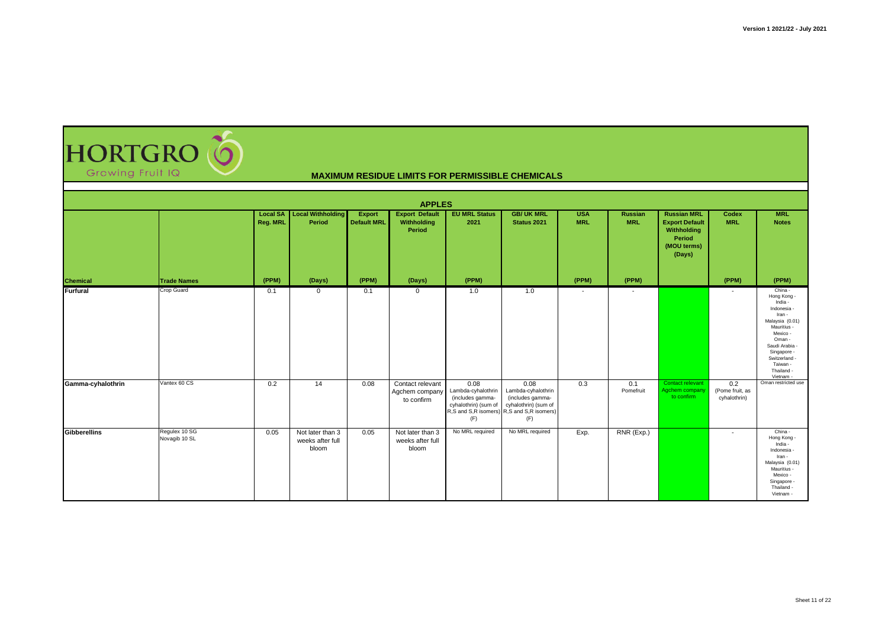| <b>Growing Fruit IQ</b> | HORTGRO O                      |                             |                                               |                                     |                                                  |                                                                               | <b>MAXIMUM RESIDUE LIMITS FOR PERMISSIBLE CHEMICALS</b>                                                                    |                          |                              |                                                                                               |                                        |                                                                                                                                                                                                      |  |  |
|-------------------------|--------------------------------|-----------------------------|-----------------------------------------------|-------------------------------------|--------------------------------------------------|-------------------------------------------------------------------------------|----------------------------------------------------------------------------------------------------------------------------|--------------------------|------------------------------|-----------------------------------------------------------------------------------------------|----------------------------------------|------------------------------------------------------------------------------------------------------------------------------------------------------------------------------------------------------|--|--|
| <b>APPLES</b>           |                                |                             |                                               |                                     |                                                  |                                                                               |                                                                                                                            |                          |                              |                                                                                               |                                        |                                                                                                                                                                                                      |  |  |
|                         |                                | <b>Local SA</b><br>Reg. MRL | <b>Local Withholding</b><br>Period            | <b>Export</b><br><b>Default MRL</b> | <b>Export Default</b><br>Withholding<br>Period   | <b>EU MRL Status</b><br>2021                                                  | <b>GB/ UK MRL</b><br>Status 2021                                                                                           | <b>USA</b><br><b>MRL</b> | <b>Russian</b><br><b>MRL</b> | <b>Russian MRL</b><br><b>Export Default</b><br>Withholding<br>Period<br>(MOU terms)<br>(Days) | Codex<br><b>MRL</b>                    | <b>MRL</b><br><b>Notes</b>                                                                                                                                                                           |  |  |
| <b>Chemical</b>         | <b>Trade Names</b>             | (PPM)                       | (Days)                                        | (PPM)                               | (Days)                                           | (PPM)                                                                         |                                                                                                                            | (PPM)                    | (PPM)                        |                                                                                               | (PPM)                                  | (PPM)                                                                                                                                                                                                |  |  |
| Furfural                | <b>Crop Guard</b>              | 0.1                         | $\mathbf 0$                                   | 0.1                                 | $\overline{0}$                                   | 1.0                                                                           | 1.0                                                                                                                        | $\overline{\phantom{a}}$ | $\overline{\phantom{a}}$     |                                                                                               | $\overline{a}$                         | China -<br>Hong Kong -<br>India -<br>Indonesia<br>Iran -<br>Malaysia (0.01<br>Mauritius -<br>Mexico -<br>Oman -<br>Saudi Arabia<br>Singapore -<br>Switzerland<br>Taiwan -<br>Thailand -<br>Vietnam - |  |  |
| Gamma-cyhalothrin       | Vantex 60 CS                   | 0.2                         | 14                                            | 0.08                                | Contact relevant<br>Agchem company<br>to confirm | 0.08<br>Lambda-cyhalothrin<br>(includes gamma-<br>cyhalothrin) (sum of<br>(F) | 0.08<br>Lambda-cyhalothrin<br>(includes gamma-<br>cyhalothrin) (sum of<br>R,S and S,R isomers) R,S and S,R isomers)<br>(F) | 0.3                      | 0.1<br>Pomefruit             | Contact relevant<br>Agchem company<br>to confirm                                              | 0.2<br>(Pome fruit, as<br>cyhalothrin) | Oman restricted use                                                                                                                                                                                  |  |  |
| Gibberellins            | Requlex 10 SG<br>Novagib 10 SL | 0.05                        | Not later than 3<br>weeks after full<br>bloom | 0.05                                | Not later than 3<br>weeks after full<br>bloom    | No MRL required                                                               | No MRL required                                                                                                            | Exp.                     | RNR (Exp.)                   |                                                                                               |                                        | China -<br>Hong Kong -<br>India -<br>Indonesia<br>Iran -<br>Malaysia (0.01)<br>Mauritius -<br>Mexico -<br>Singapore<br>Thailand -<br>Vietnam -                                                       |  |  |

**AC**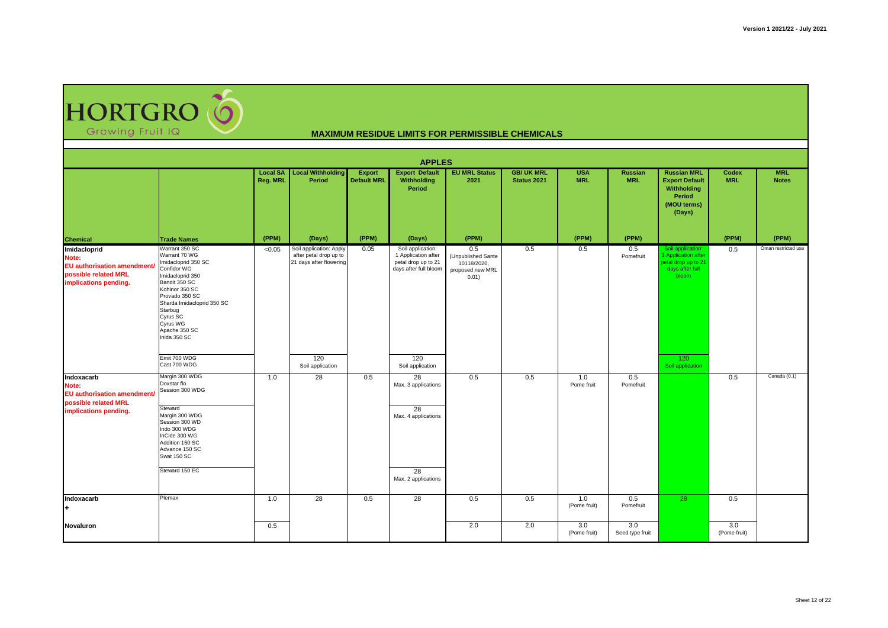HORTGRO (O Growing Fruit IQ

| <b>APPLES</b>                                                                                               |                                                                                                                                                                                                                                                                  |                             |                                                                                     |                              |                                                                                                 |                                                                       |                                  |                          |                              |                                                                                                    |                     |                            |  |
|-------------------------------------------------------------------------------------------------------------|------------------------------------------------------------------------------------------------------------------------------------------------------------------------------------------------------------------------------------------------------------------|-----------------------------|-------------------------------------------------------------------------------------|------------------------------|-------------------------------------------------------------------------------------------------|-----------------------------------------------------------------------|----------------------------------|--------------------------|------------------------------|----------------------------------------------------------------------------------------------------|---------------------|----------------------------|--|
|                                                                                                             |                                                                                                                                                                                                                                                                  | <b>Local SA</b><br>Reg. MRL | <b>Local Withholding</b><br>Period                                                  | Export<br><b>Default MRL</b> | <b>Export Default</b><br>Withholding<br>Period                                                  | <b>EU MRL Status</b><br>2021                                          | <b>GB/ UK MRL</b><br>Status 2021 | <b>USA</b><br><b>MRL</b> | <b>Russian</b><br><b>MRL</b> | <b>Russian MRL</b><br><b>Export Default</b><br>Withholding<br>Period<br>(MOU terms)<br>(Days)      | Codex<br><b>MRL</b> | <b>MRL</b><br><b>Notes</b> |  |
| <b>Chemical</b>                                                                                             | <b>Trade Names</b>                                                                                                                                                                                                                                               | (PPM)                       | (Days)                                                                              | (PPM)                        | (Days)                                                                                          | (PPM)                                                                 |                                  | (PPM)                    | (PPM)                        |                                                                                                    | (PPM)               | (PPM)                      |  |
| Imidacloprid<br>Note:<br><b>EU authorisation amendment</b><br>possible related MRL<br>implications pending. | Warrant 350 SC<br>Warrant 70 WG<br>Imidacloprid 350 SC<br>Confidor WG<br>Imidacloprid 350<br>Bandit 350 SC<br>Kohinor 350 SC<br>Provado 350 SC<br>Sharda Imidacloprid 350 SC<br>Starbug<br>Cyrus SC<br>Cyrus WG<br>Apache 350 SC<br>Inida 350 SC<br>Emit 700 WDG | < 0.05                      | Soil application: Apply<br>after petal drop up to<br>21 days after flowering<br>120 | 0.05                         | Soil application:<br>1 Application after<br>petal drop up to 21<br>days after full bloom<br>120 | 0.5<br>(Unpublished Sante<br>10118/2020,<br>proposed new MRL<br>0.01) | 0.5                              | 0.5                      | 0.5<br>Pomefruit             | Soil application:<br>1 Application after<br>betal drop up to 21<br>days after full<br>bloom<br>120 | 0.5                 | Oman restricted use        |  |
|                                                                                                             | Cast 700 WDG                                                                                                                                                                                                                                                     |                             | Soil application                                                                    |                              | Soil application                                                                                |                                                                       |                                  |                          |                              | Soil application                                                                                   |                     |                            |  |
| Indoxacarb<br>Note:<br><b>EU authorisation amendment</b><br>possible related MRL<br>implications pending.   | Margin 300 WDG<br>Doxstar flo<br>Session 300 WDG<br>Steward<br>Margin 300 WDG<br>Session 300 WD<br>Indo 300 WDG<br>InCide 300 WG<br>Addition 150 SC<br>Advance 150 SC<br>Swat 150 SC<br>Steward 150 EC                                                           | 1.0                         | 28                                                                                  | 0.5                          | 28<br>Max. 3 applications<br>28<br>Max. 4 applications<br>28<br>Max. 2 applications             | 0.5                                                                   | 0.5                              | 1.0<br>Pome fruit        | 0.5<br>Pomefruit             |                                                                                                    | 0.5                 | Canada (0.1)               |  |
| Indoxacarb                                                                                                  | Plemax                                                                                                                                                                                                                                                           | 1.0                         | 28                                                                                  | 0.5                          | 28                                                                                              | 0.5                                                                   | 0.5                              | 1.0<br>(Pome fruit)      | 0.5<br>Pomefruit             | 28                                                                                                 | 0.5                 |                            |  |
| Novaluron                                                                                                   |                                                                                                                                                                                                                                                                  | 0.5                         |                                                                                     |                              |                                                                                                 | 2.0                                                                   | 2.0                              | 3.0<br>(Pome fruit)      | 3.0<br>Seed type fruit       |                                                                                                    | 3.0<br>(Pome fruit) |                            |  |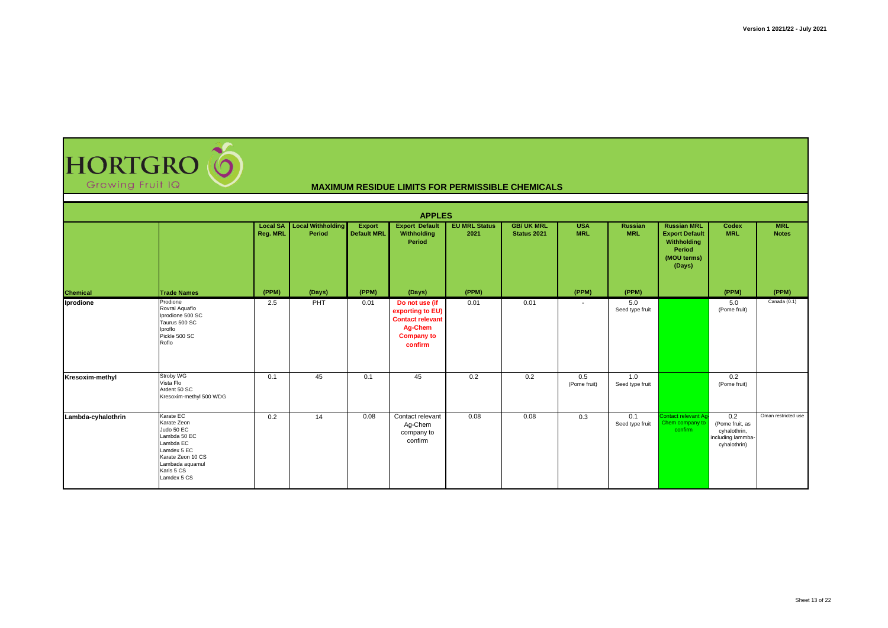| <b>HORTGRO (O</b> |  |
|-------------------|--|
| Growing Fruit IQ  |  |

|                    |                                                                                                                                                         |          |                                             |                              | <b>APPLES</b>                                                                                            |                              |                                  |                          |                        |                                                                                               |                                                                             |                            |
|--------------------|---------------------------------------------------------------------------------------------------------------------------------------------------------|----------|---------------------------------------------|------------------------------|----------------------------------------------------------------------------------------------------------|------------------------------|----------------------------------|--------------------------|------------------------|-----------------------------------------------------------------------------------------------|-----------------------------------------------------------------------------|----------------------------|
|                    |                                                                                                                                                         | Reg. MRL | <b>Local SA Local Withholding</b><br>Period | Export<br><b>Default MRL</b> | <b>Export Default</b><br>Withholding<br>Period                                                           | <b>EU MRL Status</b><br>2021 | <b>GB/ UK MRL</b><br>Status 2021 | <b>USA</b><br><b>MRL</b> | Russian<br><b>MRL</b>  | <b>Russian MRL</b><br><b>Export Default</b><br>Withholding<br>Period<br>(MOU terms)<br>(Days) | Codex<br><b>MRL</b>                                                         | <b>MRL</b><br><b>Notes</b> |
| <b>Chemical</b>    | <b>Trade Names</b>                                                                                                                                      | (PPM)    | (Days)                                      | (PPM)                        | (Days)                                                                                                   | (PPM)                        |                                  | (PPM)                    | (PPM)                  |                                                                                               | (PPM)                                                                       | (PPM)                      |
| Iprodione          | Prodione<br>Rovral Aquaflo<br>Iprodione 500 SC<br>Taurus 500 SC<br>Iproflo<br>Pickle 500 SC<br>Roflo                                                    | 2.5      | PHT                                         | 0.01                         | Do not use (if<br>exporting to EU)<br><b>Contact relevant</b><br>Ag-Chem<br><b>Company to</b><br>confirm | 0.01                         | 0.01                             | $\overline{\phantom{a}}$ | 5.0<br>Seed type fruit |                                                                                               | 5.0<br>(Pome fruit)                                                         | Canada (0.1)               |
| Kresoxim-methyl    | Stroby WG<br>Vista Flo<br>Ardent 50 SC<br>Kresoxim-methyl 500 WDG                                                                                       | 0.1      | 45                                          | 0.1                          | 45                                                                                                       | 0.2                          | 0.2                              | 0.5<br>(Pome fruit)      | 1.0<br>Seed type fruit |                                                                                               | 0.2<br>(Pome fruit)                                                         |                            |
| Lambda-cyhalothrin | Karate EC<br>Karate Zeon<br>Judo 50 EC<br>Lambda 50 EC<br>Lambda EC<br>Lamdex 5 EC<br>Karate Zeon 10 CS<br>Lambada aquamul<br>Karis 5 CS<br>Lamdex 5 CS | 0.2      | 14                                          | 0.08                         | Contact relevant<br>Ag-Chem<br>company to<br>confirm                                                     | 0.08                         | 0.08                             | 0.3                      | 0.1<br>Seed type fruit | Contact relevant Aq-<br>Chem company to<br>confirm                                            | 0.2<br>(Pome fruit, as<br>cyhalothrin,<br>including lammba-<br>cyhalothrin) | Oman restricted use        |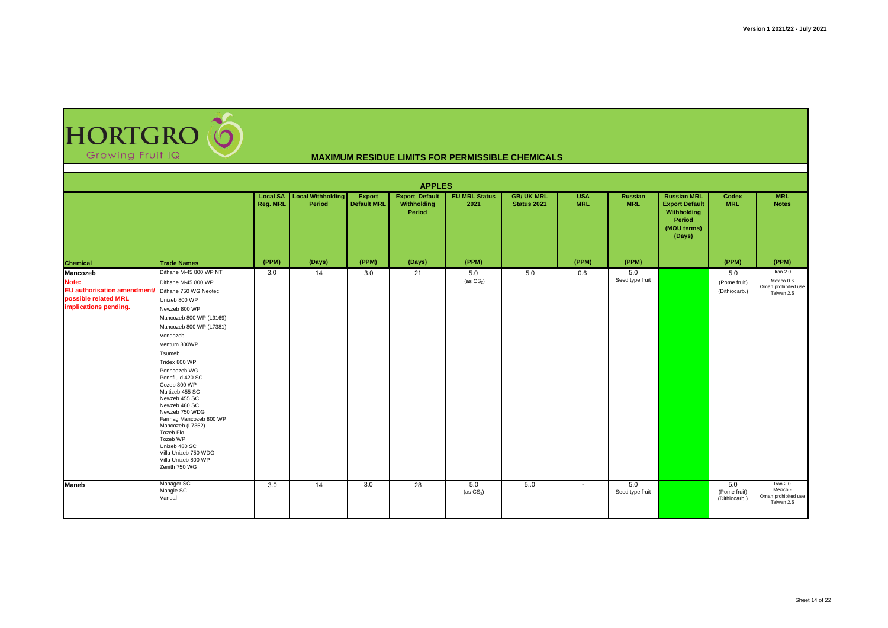

|                                                                                                                         | <b>APPLES</b>                                                                                                                                                                                                                                                                                                                                                                                                                                                                   |                             |                                    |                                     |                                                |                              |                                  |                          |                              |                                                                                               |                                      |                                                             |  |
|-------------------------------------------------------------------------------------------------------------------------|---------------------------------------------------------------------------------------------------------------------------------------------------------------------------------------------------------------------------------------------------------------------------------------------------------------------------------------------------------------------------------------------------------------------------------------------------------------------------------|-----------------------------|------------------------------------|-------------------------------------|------------------------------------------------|------------------------------|----------------------------------|--------------------------|------------------------------|-----------------------------------------------------------------------------------------------|--------------------------------------|-------------------------------------------------------------|--|
|                                                                                                                         |                                                                                                                                                                                                                                                                                                                                                                                                                                                                                 | <b>Local SA</b><br>Reg. MRL | <b>Local Withholding</b><br>Period | <b>Export</b><br><b>Default MRL</b> | <b>Export Default</b><br>Withholding<br>Period | <b>EU MRL Status</b><br>2021 | <b>GB/ UK MRL</b><br>Status 2021 | <b>USA</b><br><b>MRL</b> | <b>Russian</b><br><b>MRL</b> | <b>Russian MRL</b><br><b>Export Default</b><br>Withholding<br>Period<br>(MOU terms)<br>(Days) | Codex<br><b>MRL</b>                  | <b>MRL</b><br><b>Notes</b>                                  |  |
| <b>Chemical</b>                                                                                                         | <b>Trade Names</b>                                                                                                                                                                                                                                                                                                                                                                                                                                                              | (PPM)                       | (Days)                             | (PPM)                               | (Days)                                         | (PPM)                        |                                  | (PPM)                    | (PPM)                        |                                                                                               | (PPM)                                | (PPM)                                                       |  |
| Mancozeb<br>Note:<br>EU authorisation amendment/ Dithane 750 WG Neotec<br>possible related MRL<br>implications pending. | Dithane M-45 800 WP NT<br>Dithane M-45 800 WP<br>Unizeb 800 WP<br>Newzeb 800 WP<br>Mancozeb 800 WP (L9169)<br>Mancozeb 800 WP (L7381)<br>Vondozeb<br>Ventum 800WP<br>Tsumeb<br>Tridex 800 WP<br>Penncozeb WG<br>Pennfluid 420 SC<br>Cozeb 800 WP<br>Multizeb 455 SC<br>Newzeb 455 SC<br>Newzeb 480 SC<br>Newzeb 750 WDG<br>Farmag Mancozeb 800 WP<br>Mancozeb (L7352)<br>Tozeb Flo<br>Tozeb WP<br>Unizeb 480 SC<br>Villa Unizeb 750 WDG<br>Villa Unizeb 800 WP<br>Zenith 750 WG | 3.0                         | 14                                 | 3.0                                 | 21                                             | 5.0<br>(as $CS_2$ )          | 5.0                              | 0.6                      | 5.0<br>Seed type fruit       |                                                                                               | 5.0<br>(Pome fruit)<br>(Dithiocarb.) | Iran 2.0<br>Mexico 0.6<br>Oman prohibited use<br>Taiwan 2.5 |  |
| Maneb                                                                                                                   | Manager SC<br>Mangle SC<br>Vandal                                                                                                                                                                                                                                                                                                                                                                                                                                               | 3.0                         | 14                                 | 3.0                                 | 28                                             | 5.0<br>(as $CS_2$ )          | 5.0                              | $\overline{\phantom{a}}$ | 5.0<br>Seed type fruit       |                                                                                               | 5.0<br>(Pome fruit)<br>(Dithiocarb.) | Iran $2.0$<br>Mexico -<br>Oman prohibited use<br>Taiwan 2.5 |  |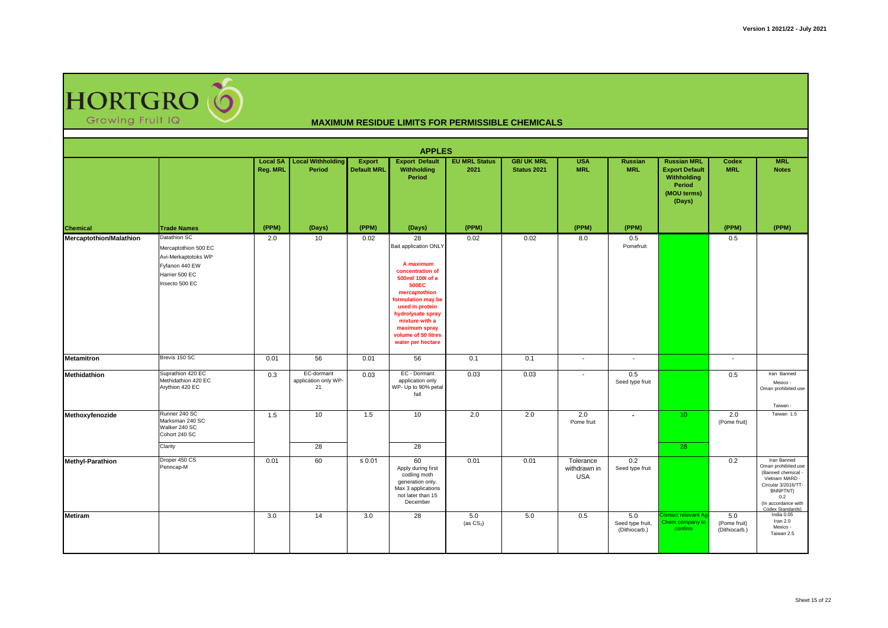

|                                |                                                                                                                   |                                    |                                          |                              | <b>APPLES</b>                                                                                                                                                                                                                                                  |                              |                                  |                                         |                                          |                                                                                                      |                                      |                                                                                                                                                                 |
|--------------------------------|-------------------------------------------------------------------------------------------------------------------|------------------------------------|------------------------------------------|------------------------------|----------------------------------------------------------------------------------------------------------------------------------------------------------------------------------------------------------------------------------------------------------------|------------------------------|----------------------------------|-----------------------------------------|------------------------------------------|------------------------------------------------------------------------------------------------------|--------------------------------------|-----------------------------------------------------------------------------------------------------------------------------------------------------------------|
|                                |                                                                                                                   | <b>Local SA</b><br><b>Reg. MRL</b> | <b>Local Withholding</b><br>Period       | Export<br><b>Default MRL</b> | <b>Export Default</b><br>Withholding<br>Period                                                                                                                                                                                                                 | <b>EU MRL Status</b><br>2021 | <b>GB/ UK MRL</b><br>Status 2021 | <b>USA</b><br><b>MRL</b>                | Russian<br><b>MRL</b>                    | <b>Russian MRL</b><br><b>Export Default</b><br>Withholding<br><b>Period</b><br>(MOU terms)<br>(Days) | Codex<br><b>MRL</b>                  | <b>MRL</b><br><b>Notes</b>                                                                                                                                      |
| <b>Chemical</b>                | <b>Trade Names</b>                                                                                                | (PPM)                              | (Days)                                   | (PPM)                        | (Days)                                                                                                                                                                                                                                                         | (PPM)                        |                                  | (PPM)                                   | (PPM)                                    |                                                                                                      | (PPM)                                | (PPM)                                                                                                                                                           |
| <b>Mercaptothion/Malathion</b> | Datathion SC<br>Mercaptothion 500 EC<br>Avi-Merkaptotoks WP<br>Fyfanon 440 EW<br>Harrier 500 EC<br>Insecto 500 EC | 2.0                                | 10                                       | 0.02                         | 28<br>Bait application ONLY<br>A maximum<br>concentration of<br>500ml/ 100l of a<br><b>500EC</b><br>mercaptothion<br>formulation may be<br>used in protein<br>hydrolysate spray<br>mixture with a<br>maximum spray<br>volume of 50 litres<br>water per hectare | 0.02                         | 0.02                             | 8.0                                     | 0.5<br>Pomefruit                         |                                                                                                      | 0.5                                  |                                                                                                                                                                 |
| <b>Metamitron</b>              | Brevis 150 SC                                                                                                     | 0.01                               | 56                                       | 0.01                         | 56                                                                                                                                                                                                                                                             | 0.1                          | 0.1                              | $\overline{\phantom{a}}$                | $\blacksquare$                           |                                                                                                      | $\overline{\phantom{a}}$             |                                                                                                                                                                 |
| <b>Methidathion</b>            | Suprathion 420 EC<br>Methidathion 420 EC<br>Arythion 420 EC                                                       | 0.3                                | EC-dormant<br>application only WP-<br>21 | 0.03                         | EC - Dormant<br>application only<br>WP- Up to 90% petal<br>fall                                                                                                                                                                                                | 0.03                         | 0.03                             | $\overline{\phantom{a}}$                | 0.5<br>Seed type fruit                   |                                                                                                      | 0.5                                  | Iran Banned<br>Mexico -<br>Oman prohibited use<br>Taiwan -                                                                                                      |
| Methoxyfenozide                | Runner 240 SC<br>Marksman 240 SC<br>Walker 240 SC<br>Cohort 240 SC<br>Clarity                                     | 1.5                                | 10<br>28                                 | 1.5                          | 10<br>$\overline{28}$                                                                                                                                                                                                                                          | 2.0                          | 2.0                              | 2.0<br>Pome fruit                       | $\overline{\phantom{a}}$                 | 10 <sup>°</sup><br>28                                                                                | 2.0<br>(Pome fruit)                  | Taiwan 1.5                                                                                                                                                      |
| <b>Methyl-Parathion</b>        | Droper 450 CS<br>Penncap-M                                                                                        | 0.01                               | 60                                       | $\leq 0.01$                  | 60<br>Apply during first<br>codling moth<br>generation only.<br>Max 3 applications<br>not later than 15<br>December                                                                                                                                            | 0.01                         | 0.01                             | Tolerance<br>withdrawn in<br><b>USA</b> | 0.2<br>Seed type fruit                   |                                                                                                      | 0.2                                  | Iran Banned<br>Oman prohibited use<br>(Banned chemical -<br>Vietnam MARD -<br>Circular 3/2016/TT-<br>BNNPTNT)<br>0.2<br>(In accordance with<br>Codex Standards) |
| <b>Metiram</b>                 |                                                                                                                   | 3.0                                | 14                                       | 3.0                          | 28                                                                                                                                                                                                                                                             | 5.0<br>(as $CS_2$ )          | 5.0                              | 0.5                                     | 5.0<br>Seed type fruit,<br>(Dithiocarb.) | Contact relevant Ad<br>Chem company to<br>confirm                                                    | 5.0<br>(Pome fruit)<br>(Dithiocarb.) | India 0.05<br>Iran 2.0<br>Mexico -<br>Taiwan 2.5                                                                                                                |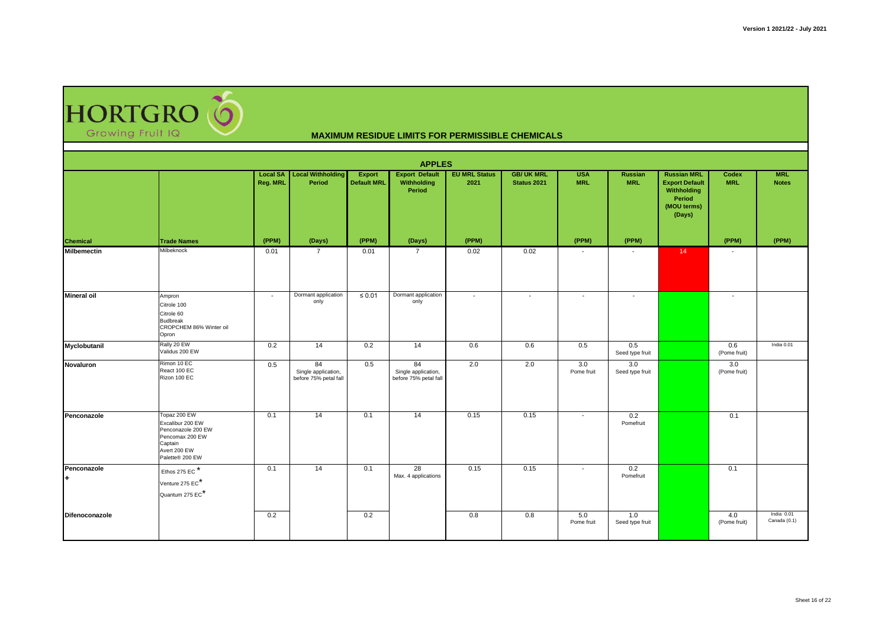HORTGRO (O Growing Fruit IQ

|                    | <b>APPLES</b>                                                                                                           |          |                                                    |                              |                                                    |                              |                                 |                          |                              |                                                                                               |                     |                            |  |  |
|--------------------|-------------------------------------------------------------------------------------------------------------------------|----------|----------------------------------------------------|------------------------------|----------------------------------------------------|------------------------------|---------------------------------|--------------------------|------------------------------|-----------------------------------------------------------------------------------------------|---------------------|----------------------------|--|--|
|                    |                                                                                                                         | Reg. MRL | <b>Local SA</b> Local Withholding<br>Period        | <b>Export</b><br>Default MRL | <b>Export Default</b><br>Withholding<br>Period     | <b>EU MRL Status</b><br>2021 | <b>GB/UK MRL</b><br>Status 2021 | <b>USA</b><br><b>MRL</b> | <b>Russian</b><br><b>MRL</b> | <b>Russian MRL</b><br><b>Export Default</b><br>Withholding<br>Period<br>(MOU terms)<br>(Days) | Codex<br><b>MRL</b> | <b>MRL</b><br><b>Notes</b> |  |  |
| <b>Chemical</b>    | <b>Trade Names</b>                                                                                                      | (PPM)    | (Days)                                             | (PPM)                        | (Days)                                             | (PPM)                        |                                 | (PPM)                    | (PPM)                        |                                                                                               | (PPM)               | (PPM)                      |  |  |
| <b>Milbemectin</b> | Milbeknock                                                                                                              | 0.01     | 7                                                  | 0.01                         | $\overline{7}$                                     | 0.02                         | 0.02                            |                          |                              | 14 <sup>°</sup>                                                                               |                     |                            |  |  |
| <b>Mineral oil</b> | Ampron<br>Citrole 100<br>Citrole 60<br><b>Budbreak</b><br>CROPCHEM 86% Winter oil<br>Opron                              | $\sim$   | Dormant application<br>only                        | $\leq 0.01$                  | Dormant application<br>only                        | $\sim$                       | $\overline{\phantom{a}}$        | $\sim$                   | $\overline{\phantom{a}}$     |                                                                                               | $\overline{a}$      |                            |  |  |
| Myclobutanil       | Rally 20 EW<br>Validus 200 EW                                                                                           | 0.2      | 14                                                 | 0.2                          | 14                                                 | 0.6                          | 0.6                             | 0.5                      | 0.5<br>Seed type fruit       |                                                                                               | 0.6<br>(Pome fruit) | India 0.01                 |  |  |
| Novaluron          | Rimon 10 EC<br>React 100 EC<br>Rizon 100 EC                                                                             | 0.5      | 84<br>Single application,<br>before 75% petal fall | 0.5                          | 84<br>Single application,<br>before 75% petal fall | 2.0                          | 2.0                             | 3.0<br>Pome fruit        | 3.0<br>Seed type fruit       |                                                                                               | 3.0<br>(Pome fruit) |                            |  |  |
| Penconazole        | Topaz 200 EW<br>Excalibur 200 EW<br>Penconazole 200 EW<br>Pencomax 200 EW<br>Captain<br>Avert 200 EW<br>Palette® 200 EW | 0.1      | 14                                                 | 0.1                          | 14                                                 | 0.15                         | 0.15                            | $\overline{\phantom{a}}$ | 0.2<br>Pomefruit             |                                                                                               | 0.1                 |                            |  |  |
| Penconazole<br>÷.  | Ethos 275 EC $*$<br>Venture 275 EC <sup>*</sup><br>Quantum 275 EC*                                                      | 0.1      | 14                                                 | 0.1                          | 28<br>Max. 4 applications                          | 0.15                         | 0.15                            | $\overline{\phantom{a}}$ | 0.2<br>Pomefruit             |                                                                                               | 0.1                 |                            |  |  |
| Difenoconazole     |                                                                                                                         | 0.2      |                                                    | 0.2                          |                                                    | 0.8                          | 0.8                             | 5.0<br>Pome fruit        | 1.0<br>Seed type fruit       |                                                                                               | 4.0<br>(Pome fruit) | India 0.01<br>Canada (0.1) |  |  |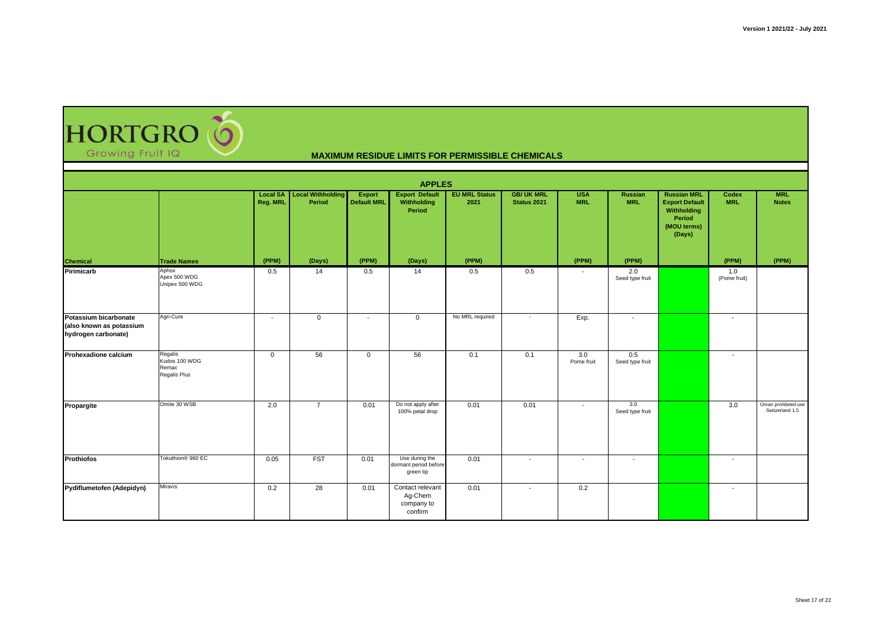

|                                                                          | <b>APPLES</b>                                     |                          |                                          |                              |                                                      |                              |                                 |                          |                              |                                                                                               |                          |                                        |  |  |
|--------------------------------------------------------------------------|---------------------------------------------------|--------------------------|------------------------------------------|------------------------------|------------------------------------------------------|------------------------------|---------------------------------|--------------------------|------------------------------|-----------------------------------------------------------------------------------------------|--------------------------|----------------------------------------|--|--|
|                                                                          |                                                   | <b>Reg. MRL</b>          | Local SA   Local Withholding  <br>Period | Export<br><b>Default MRL</b> | <b>Export Default</b><br>Withholding<br>Period       | <b>EU MRL Status</b><br>2021 | <b>GB/UK MRL</b><br>Status 2021 | <b>USA</b><br><b>MRL</b> | <b>Russian</b><br><b>MRL</b> | <b>Russian MRL</b><br><b>Export Default</b><br>Withholding<br>Period<br>(MOU terms)<br>(Days) | Codex<br><b>MRL</b>      | <b>MRL</b><br><b>Notes</b>             |  |  |
| Chemical                                                                 | <b>Trade Names</b>                                | (PPM)                    | (Days)                                   | (PPM)                        | (Days)                                               | (PPM)                        |                                 | (PPM)                    | (PPM)                        |                                                                                               | (PPM)                    | (PPM)                                  |  |  |
| Pirimicarb                                                               | Aphox<br>Apex 500 WDG<br>Unipex 500 WDG           | 0.5                      | 14                                       | 0.5                          | 14                                                   | 0.5                          | 0.5                             |                          | 2.0<br>Seed type fruit       |                                                                                               | 1.0<br>(Pome fruit)      |                                        |  |  |
| Potassium bicarbonate<br>(also known as potassium<br>hydrogen carbonate) | Agri-Cure                                         | $\overline{\phantom{a}}$ | $\mathbf{0}$                             | $\overline{\phantom{a}}$     | $\mathbf 0$                                          | No MRL required              | $\overline{\phantom{a}}$        | Exp.                     | $\overline{\phantom{a}}$     |                                                                                               | $\overline{\phantom{a}}$ |                                        |  |  |
| Prohexadione calcium                                                     | Regalis<br>Kudos 100 WDG<br>Remax<br>Regalis Plus | $\mathbf 0$              | 56                                       | $\mathbf{0}$                 | 56                                                   | 0.1                          | 0.1                             | 3.0<br>Pome fruit        | 0.5<br>Seed type fruit       |                                                                                               | $\overline{\phantom{a}}$ |                                        |  |  |
| Propargite                                                               | Omite 30 WSB                                      | 2.0                      | $\overline{7}$                           | 0.01                         | Do not apply after<br>100% petal drop                | 0.01                         | 0.01                            | $\sim$                   | 3.0<br>Seed type fruit       |                                                                                               | 3.0                      | Oman prohibited use<br>Switzerland 1.5 |  |  |
| <b>Prothiofos</b>                                                        | Tokuthion <sup>®</sup> 960 EC                     | 0.05                     | <b>FST</b>                               | 0.01                         | Use during the<br>dormant period before<br>green tip | 0.01                         | $\overline{\phantom{a}}$        | $\overline{\phantom{a}}$ | $\overline{\phantom{a}}$     |                                                                                               | $\overline{\phantom{a}}$ |                                        |  |  |
| Pydiflumetofen (Adepidyn)                                                | Miravis                                           | 0.2                      | 28                                       | 0.01                         | Contact relevant<br>Ag-Chem<br>company to<br>confirm | 0.01                         | $\overline{\phantom{a}}$        | 0.2                      |                              |                                                                                               | $\overline{\phantom{a}}$ |                                        |  |  |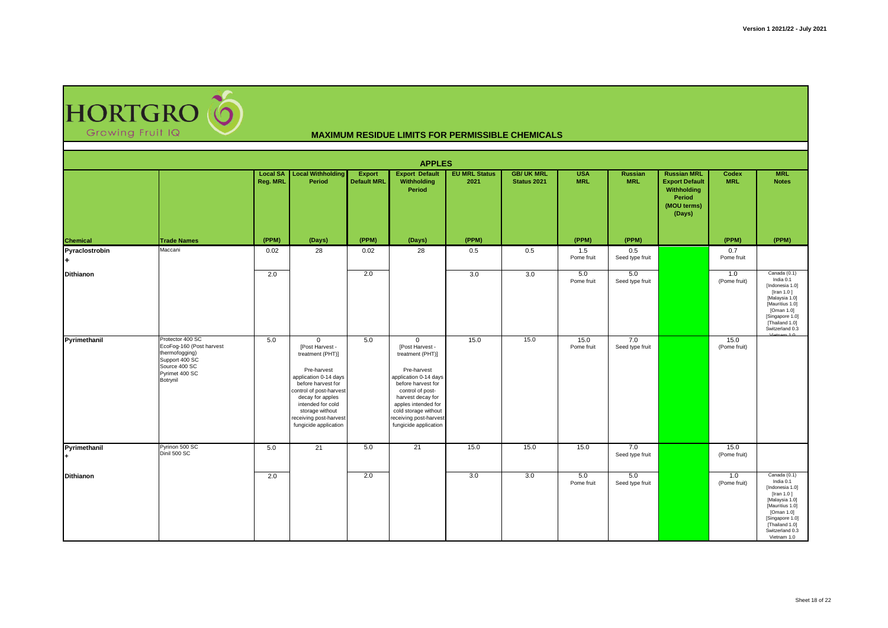HORTGRO (O Growing Fruit IQ

| <b>MAXIMUM RESIDUE LIMITS FOR PERMISSIBLE CHEMICALS</b> |  |
|---------------------------------------------------------|--|
|---------------------------------------------------------|--|

| <b>APPLES</b>    |                                                                                                                                 |          |                                                                                                                                                                                                                                                             |                              |                                                                                                                                                                                                                                                              |                              |                                  |                          |                        |                                                                                               |                      |                                                                                                                                                                                        |  |
|------------------|---------------------------------------------------------------------------------------------------------------------------------|----------|-------------------------------------------------------------------------------------------------------------------------------------------------------------------------------------------------------------------------------------------------------------|------------------------------|--------------------------------------------------------------------------------------------------------------------------------------------------------------------------------------------------------------------------------------------------------------|------------------------------|----------------------------------|--------------------------|------------------------|-----------------------------------------------------------------------------------------------|----------------------|----------------------------------------------------------------------------------------------------------------------------------------------------------------------------------------|--|
|                  |                                                                                                                                 | Reg. MRL | <b>Local SA</b> Local Withholding<br>Period                                                                                                                                                                                                                 | Export<br><b>Default MRL</b> | <b>Export Default</b><br>Withholding<br>Period                                                                                                                                                                                                               | <b>EU MRL Status</b><br>2021 | <b>GB/ UK MRL</b><br>Status 2021 | <b>USA</b><br><b>MRL</b> | Russian<br><b>MRL</b>  | <b>Russian MRL</b><br><b>Export Default</b><br>Withholding<br>Period<br>(MOU terms)<br>(Days) | Codex<br><b>MRL</b>  | <b>MRL</b><br><b>Notes</b>                                                                                                                                                             |  |
| <b>Chemical</b>  | <b>Trade Names</b>                                                                                                              | (PPM)    | (Days)                                                                                                                                                                                                                                                      | (PPM)                        | (Days)                                                                                                                                                                                                                                                       | (PPM)                        |                                  | (PPM)                    | (PPM)                  |                                                                                               | (PPM)                | (PPM)                                                                                                                                                                                  |  |
| Pyraclostrobin   | Maccani                                                                                                                         | 0.02     | 28                                                                                                                                                                                                                                                          | 0.02                         | 28                                                                                                                                                                                                                                                           | 0.5                          | 0.5                              | 1.5<br>Pome fruit        | 0.5<br>Seed type fruit |                                                                                               | 0.7<br>Pome fruit    |                                                                                                                                                                                        |  |
| <b>Dithianon</b> |                                                                                                                                 | 2.0      |                                                                                                                                                                                                                                                             | 2.0                          |                                                                                                                                                                                                                                                              | 3.0                          | 3.0                              | 5.0<br>Pome fruit        | 5.0<br>Seed type fruit |                                                                                               | 1.0<br>(Pome fruit)  | Canada (0.1)<br>India 0.1<br>[Indonesia 1.0]<br>[Iran 1.0]<br>[Malaysia 1.0]<br>[Mauritius 1.0]<br>[Oman 1.0]<br>[Singapore 1.0]<br>[Thailand 1.0]<br>Switzerland 0.3                  |  |
| Pyrimethanil     | Protector 400 SC<br>EcoFog-160 (Post harvest<br>thermofogging)<br>Support 400 SC<br>Source 400 SC<br>Pyrimet 400 SC<br>Botrynil | 5.0      | $\mathbf{0}$<br>[Post Harvest -<br>treatment (PHT)]<br>Pre-harvest<br>application 0-14 days<br>before harvest for<br>control of post-harvest<br>decay for apples<br>intended for cold<br>storage without<br>receiving post-harvest<br>fungicide application | 5.0                          | $\mathbf{0}$<br>[Post Harvest -<br>treatment (PHT)]<br>Pre-harvest<br>application 0-14 days<br>before harvest for<br>control of post-<br>harvest decay for<br>apples intended for<br>cold storage without<br>receiving post-harvest<br>fungicide application | 15.0                         | 15.0                             | 15.0<br>Pome fruit       | 7.0<br>Seed type fruit |                                                                                               | 15.0<br>(Pome fruit) |                                                                                                                                                                                        |  |
| Pyrimethanil     | Pyrinon 500 SC<br>Dinil 500 SC                                                                                                  | 5.0      | 21                                                                                                                                                                                                                                                          | 5.0                          | 21                                                                                                                                                                                                                                                           | 15.0                         | 15.0                             | 15.0                     | 7.0<br>Seed type fruit |                                                                                               | 15.0<br>(Pome fruit) |                                                                                                                                                                                        |  |
| <b>Dithianon</b> |                                                                                                                                 | 2.0      |                                                                                                                                                                                                                                                             | 2.0                          |                                                                                                                                                                                                                                                              | 3.0                          | 3.0                              | 5.0<br>Pome fruit        | 5.0<br>Seed type fruit |                                                                                               | 1.0<br>(Pome fruit)  | Canada $(0.1)$<br>India 0.1<br>[Indonesia 1.0]<br>[Iran 1.0]<br>[Malaysia 1.0]<br>[Mauritius 1.0]<br>[Oman 1.0]<br>[Singapore 1.0]<br>[Thailand 1.0]<br>Switzerland 0.3<br>Vietnam 1.0 |  |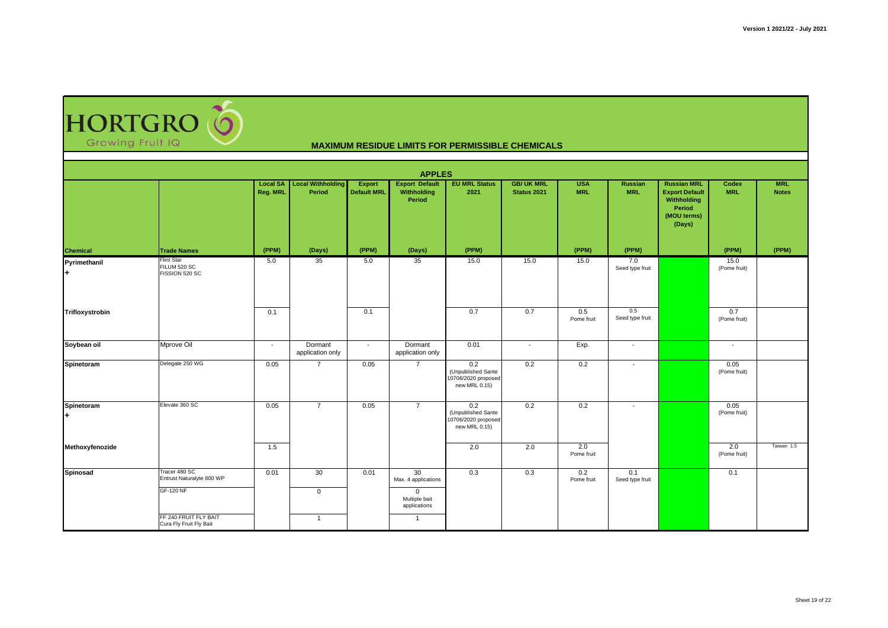HORTGRO

|                    |                                                                                                                    |                 |                                          |                              | <b>APPLES</b>                                                                               |                                                                   |                                  |                          |                              |                                                                                               |                      |                            |
|--------------------|--------------------------------------------------------------------------------------------------------------------|-----------------|------------------------------------------|------------------------------|---------------------------------------------------------------------------------------------|-------------------------------------------------------------------|----------------------------------|--------------------------|------------------------------|-----------------------------------------------------------------------------------------------|----------------------|----------------------------|
|                    |                                                                                                                    | <b>Reg. MRL</b> | Local SA   Local Withholding  <br>Period | Export<br><b>Default MRL</b> | <b>Export Default</b><br>Withholding<br>Period                                              | <b>EU MRL Status</b><br>2021                                      | <b>GB/ UK MRL</b><br>Status 2021 | <b>USA</b><br><b>MRL</b> | <b>Russian</b><br><b>MRL</b> | <b>Russian MRL</b><br><b>Export Default</b><br>Withholding<br>Period<br>(MOU terms)<br>(Days) | Codex<br><b>MRL</b>  | <b>MRL</b><br><b>Notes</b> |
| <b>Chemical</b>    | <b>Trade Names</b>                                                                                                 | (PPM)           | (Days)                                   | (PPM)                        | (Days)                                                                                      | (PPM)                                                             |                                  | (PPM)                    | (PPM)                        |                                                                                               | (PPM)                | (PPM)                      |
| Pyrimethanil<br>l+ | <b>Flint Star</b><br>FILUM 520 SC<br>FISSION 520 SC                                                                | 5.0             | 35                                       | 5.0                          | 35                                                                                          | 15.0                                                              | 15.0                             | 15.0                     | 7.0<br>Seed type fruit       |                                                                                               | 15.0<br>(Pome fruit) |                            |
| Trifloxystrobin    |                                                                                                                    | 0.1             |                                          | 0.1                          |                                                                                             | 0.7                                                               | 0.7                              | 0.5<br>Pome fruit        | 0.5<br>Seed type fruit       |                                                                                               | 0.7<br>(Pome fruit)  |                            |
| Soybean oil        | Mprove Oil                                                                                                         | $\sim$          | Dormant<br>application only              | $\overline{\phantom{a}}$     | Dormant<br>application only                                                                 | 0.01                                                              | $\overline{\phantom{a}}$         | Exp.                     | $\blacksquare$               |                                                                                               | $\sim$               |                            |
| Spinetoram         | Delegate 250 WG                                                                                                    | 0.05            | $\overline{7}$                           | 0.05                         | $\overline{7}$                                                                              | 0.2<br>(Unpublished Sante<br>10706/2020 proposed<br>new MRL 0.15) | 0.2                              | 0.2                      | $\overline{\phantom{a}}$     |                                                                                               | 0.05<br>(Pome fruit) |                            |
| Spinetoram<br>l+   | Elevate 360 SC                                                                                                     | 0.05            | $\overline{7}$                           | 0.05                         | $\overline{7}$                                                                              | 0.2<br>(Unpublished Sante<br>10706/2020 proposed<br>new MRL 0.15) | 0.2                              | 0.2                      | $\sim$                       |                                                                                               | 0.05<br>(Pome fruit) |                            |
| Methoxyfenozide    |                                                                                                                    | 1.5             |                                          |                              |                                                                                             | 2.0                                                               | 2.0                              | 2.0<br>Pome fruit        |                              |                                                                                               | 2.0<br>(Pome fruit)  | Taiwan 1.5                 |
| Spinosad           | Tracer 480 SC<br>Entrust Naturalyte 800 WP<br><b>GF-120 NF</b><br>FF 240 FRUIT FLY BAIT<br>Cura Fly Fruit Fly Bait | 0.01            | 30<br>$\mathbf 0$<br>$\overline{1}$      | 0.01                         | 30<br>Max. 4 applications<br>$\mathbf 0$<br>Multiple bait<br>applications<br>$\overline{1}$ | 0.3                                                               | 0.3                              | 0.2<br>Pome fruit        | 0.1<br>Seed type fruit       |                                                                                               | 0.1                  |                            |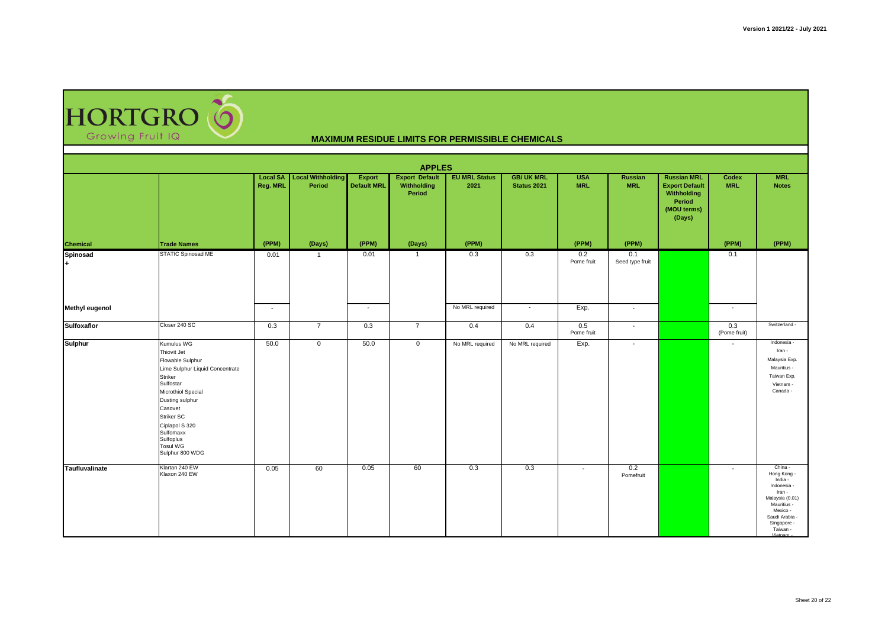HORTGRO (O Growing Fruit IQ

| <b>APPLES</b>         |                                                                                                                                                                                                                                                       |                          |                                             |                                     |                                                |                              |                                 |                          |                        |                                                                                               |                          |                                                                                                                                                                 |
|-----------------------|-------------------------------------------------------------------------------------------------------------------------------------------------------------------------------------------------------------------------------------------------------|--------------------------|---------------------------------------------|-------------------------------------|------------------------------------------------|------------------------------|---------------------------------|--------------------------|------------------------|-----------------------------------------------------------------------------------------------|--------------------------|-----------------------------------------------------------------------------------------------------------------------------------------------------------------|
|                       |                                                                                                                                                                                                                                                       | Reg. MRL                 | <b>Local SA</b> Local Withholding<br>Period | <b>Export</b><br><b>Default MRL</b> | <b>Export Default</b><br>Withholding<br>Period | <b>EU MRL Status</b><br>2021 | <b>GB/UK MRL</b><br>Status 2021 | <b>USA</b><br><b>MRL</b> | Russian<br><b>MRL</b>  | <b>Russian MRL</b><br><b>Export Default</b><br>Withholding<br>Period<br>(MOU terms)<br>(Days) | Codex<br><b>MRL</b>      | <b>MRL</b><br><b>Notes</b>                                                                                                                                      |
| <b>Chemical</b>       | <b>Trade Names</b>                                                                                                                                                                                                                                    | (PPM)                    | (Days)                                      | (PPM)                               | (Days)                                         | (PPM)                        |                                 | (PPM)                    | (PPM)                  |                                                                                               | (PPM)                    | (PPM)                                                                                                                                                           |
| <b>Spinosad</b><br>l+ | STATIC Spinosad ME                                                                                                                                                                                                                                    | 0.01                     | $\overline{1}$                              | 0.01                                | $\overline{1}$                                 | 0.3                          | 0.3                             | 0.2<br>Pome fruit        | 0.1<br>Seed type fruit |                                                                                               | 0.1                      |                                                                                                                                                                 |
| <b>Methyl eugenol</b> |                                                                                                                                                                                                                                                       | $\overline{\phantom{a}}$ |                                             | $\sim$                              |                                                | No MRL required              | $\sim$                          | Exp.                     | $\sim$                 |                                                                                               | $\overline{\phantom{a}}$ |                                                                                                                                                                 |
| <b>Sulfoxaflor</b>    | Closer 240 SC                                                                                                                                                                                                                                         | 0.3                      | $\overline{7}$                              | 0.3                                 | $\overline{7}$                                 | 0.4                          | 0.4                             | 0.5<br>Pome fruit        | $\sim$                 |                                                                                               | 0.3<br>(Pome fruit)      | Switzerland -                                                                                                                                                   |
| <b>Sulphur</b>        | Kumulus WG<br>Thiovit Jet<br>Flowable Sulphur<br>Lime Sulphur Liquid Concentrate<br>Striker<br>Sulfostar<br>Microthiol Special<br>Dusting sulphur<br>Casovet<br>Striker SC<br>Ciplapol S 320<br>Sulfomaxx<br>Sulfoplus<br>Tosul WG<br>Sulphur 800 WDG | 50.0                     | $\mathsf 0$                                 | 50.0                                | $\mathbf 0$                                    | No MRL required              | No MRL required                 | Exp.                     | $\sim$                 |                                                                                               | $\overline{\phantom{a}}$ | Indonesia<br>Iran -<br>Malaysia Exp.<br>Mauritius -<br>Taiwan Exp.<br>Vietnam -<br>Canada -                                                                     |
| Taufluvalinate        | Klartan 240 EW<br>Klaxon 240 EW                                                                                                                                                                                                                       | 0.05                     | 60                                          | 0.05                                | 60                                             | 0.3                          | 0.3                             | $\sim$                   | 0.2<br>Pomefruit       |                                                                                               | $\sim$                   | China -<br>Hong Kong -<br>India -<br>Indonesia -<br>Iran -<br>Malaysia (0.01)<br>Mauritius -<br>Mexico -<br>Saudi Arabia -<br>Singapore -<br>Taiwan -<br>Minton |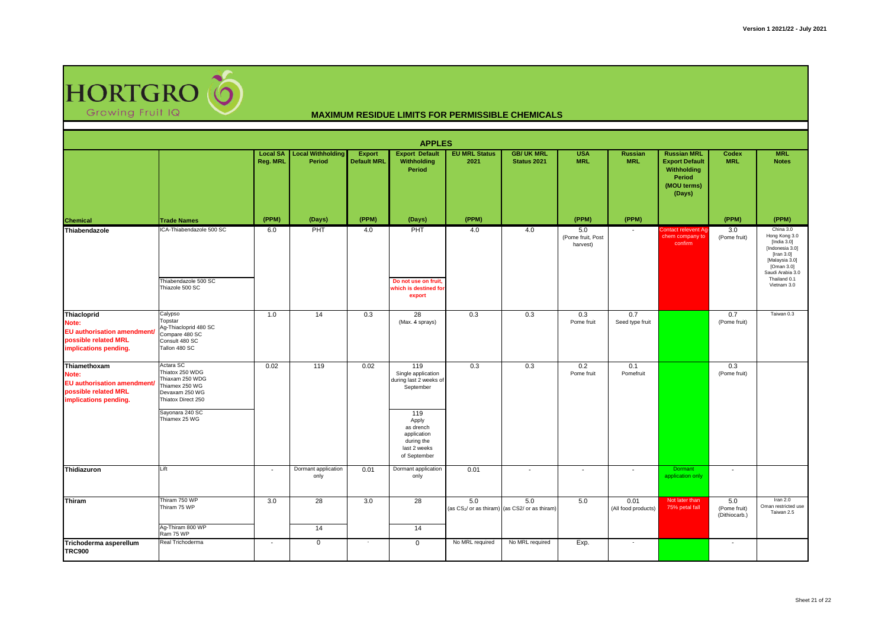

| <b>APPLES</b>                                                                                               |                                                                                                                                               |                             |                                    |                                     |                                                                                                                                                            |                              |                                                                   |                                      |                              |                                                                                               |                                      |                                                                                                                                                                  |
|-------------------------------------------------------------------------------------------------------------|-----------------------------------------------------------------------------------------------------------------------------------------------|-----------------------------|------------------------------------|-------------------------------------|------------------------------------------------------------------------------------------------------------------------------------------------------------|------------------------------|-------------------------------------------------------------------|--------------------------------------|------------------------------|-----------------------------------------------------------------------------------------------|--------------------------------------|------------------------------------------------------------------------------------------------------------------------------------------------------------------|
|                                                                                                             |                                                                                                                                               | <b>Local SA</b><br>Reg. MRL | <b>Local Withholding</b><br>Period | <b>Export</b><br><b>Default MRL</b> | <b>Export Default</b><br>Withholding<br>Period                                                                                                             | <b>EU MRL Status</b><br>2021 | <b>GB/ UK MRL</b><br>Status 2021                                  | <b>USA</b><br><b>MRL</b>             | <b>Russian</b><br><b>MRL</b> | <b>Russian MRL</b><br><b>Export Default</b><br>Withholding<br>Period<br>(MOU terms)<br>(Days) | Codex<br><b>MRL</b>                  | <b>MRL</b><br><b>Notes</b>                                                                                                                                       |
| <b>Chemical</b>                                                                                             | <b>Trade Names</b>                                                                                                                            | (PPM)                       | (Days)                             | (PPM)                               | (Days)                                                                                                                                                     | (PPM)                        |                                                                   | (PPM)                                | (PPM)                        |                                                                                               | (PPM)                                | (PPM)                                                                                                                                                            |
| Thiabendazole                                                                                               | ICA-Thiabendazole 500 SC<br>Thiabendazole 500 SC<br>Thiazole 500 SC                                                                           | 6.0                         | PHT                                | 4.0                                 | PHT<br>Do not use on fruit,<br>which is destined for<br>export                                                                                             | 4.0                          | 4.0                                                               | 5.0<br>(Pome fruit, Post<br>harvest) | $\overline{\phantom{a}}$     | Contact relevent Ag-<br>chem company to<br>confirm                                            | 3.0<br>(Pome fruit)                  | China 3.0<br>Hong Kong 3.0<br>[India $3.0$ ]<br>[Indonesia 3.0]<br>[Iran 3.0]<br>[Malaysia 3.0]<br>[Oman 3.0]<br>Saudi Arabia 3.0<br>Thailand 0.1<br>Vietnam 3.0 |
| Thiacloprid<br>Note:<br><b>EU</b> authorisation amendment<br>possible related MRL<br>implications pending.  | Calypso<br>Topstar<br>Ag-Thiacloprid 480 SC<br>Compare 480 SC<br>Consult 480 SC<br>Tallon 480 SC                                              | 1.0                         | 14                                 | 0.3                                 | 28<br>(Max. 4 sprays)                                                                                                                                      | 0.3                          | 0.3                                                               | 0.3<br>Pome fruit                    | 0.7<br>Seed type fruit       |                                                                                               | 0.7<br>(Pome fruit)                  | Taiwan 0.3                                                                                                                                                       |
| Thiamethoxam<br>Note:<br><b>EU</b> authorisation amendment<br>possible related MRL<br>implications pending. | Actara SC<br>Thiatox 250 WDG<br>Thiaxam 250 WDG<br>Thiamex 250 WG<br>Devaxam 250 WG<br>Thiatox Direct 250<br>Sayonara 240 SC<br>Thiamex 25 WG | 0.02                        | 119                                | 0.02                                | 119<br>Single application<br>during last 2 weeks of<br>September<br>119<br>Apply<br>as drench<br>application<br>during the<br>last 2 weeks<br>of September | 0.3                          | 0.3                                                               | 0.2<br>Pome fruit                    | 0.1<br>Pomefruit             |                                                                                               | 0.3<br>(Pome fruit)                  |                                                                                                                                                                  |
| Thidiazuron                                                                                                 | Lift                                                                                                                                          | $\sim$                      | Dormant application<br>only        | 0.01                                | Dormant application<br>only                                                                                                                                | 0.01                         | $\overline{a}$                                                    | $\blacksquare$                       | $\overline{a}$               | Dormant<br>application only                                                                   | $\overline{\phantom{a}}$             |                                                                                                                                                                  |
| Thiram                                                                                                      | Thiram 750 WP<br>Thiram 75 WP<br>Ag-Thiram 800 WP                                                                                             | 3.0                         | 28<br>14                           | 3.0                                 | 28<br>14                                                                                                                                                   | 5.0                          | 5.0<br>(as CS <sub>2</sub> / or as thiram) (as CS2/ or as thiram) | 5.0                                  | 0.01<br>(All food products)  | Not later than<br>75% petal fall                                                              | 5.0<br>(Pome fruit)<br>(Dithiocarb.) | Iran 2.0<br>Oman restricted use<br>Taiwan 2.5                                                                                                                    |
| Trichoderma asperellum<br><b>TRC900</b>                                                                     | Ram 75 WP<br>Real Trichoderma                                                                                                                 | $\overline{\phantom{a}}$    | $\mathbf 0$                        | $\sim$                              | $\mathbf 0$                                                                                                                                                | No MRL required              | No MRL required                                                   | Exp.                                 | $\sim$                       |                                                                                               | $\sim$                               |                                                                                                                                                                  |